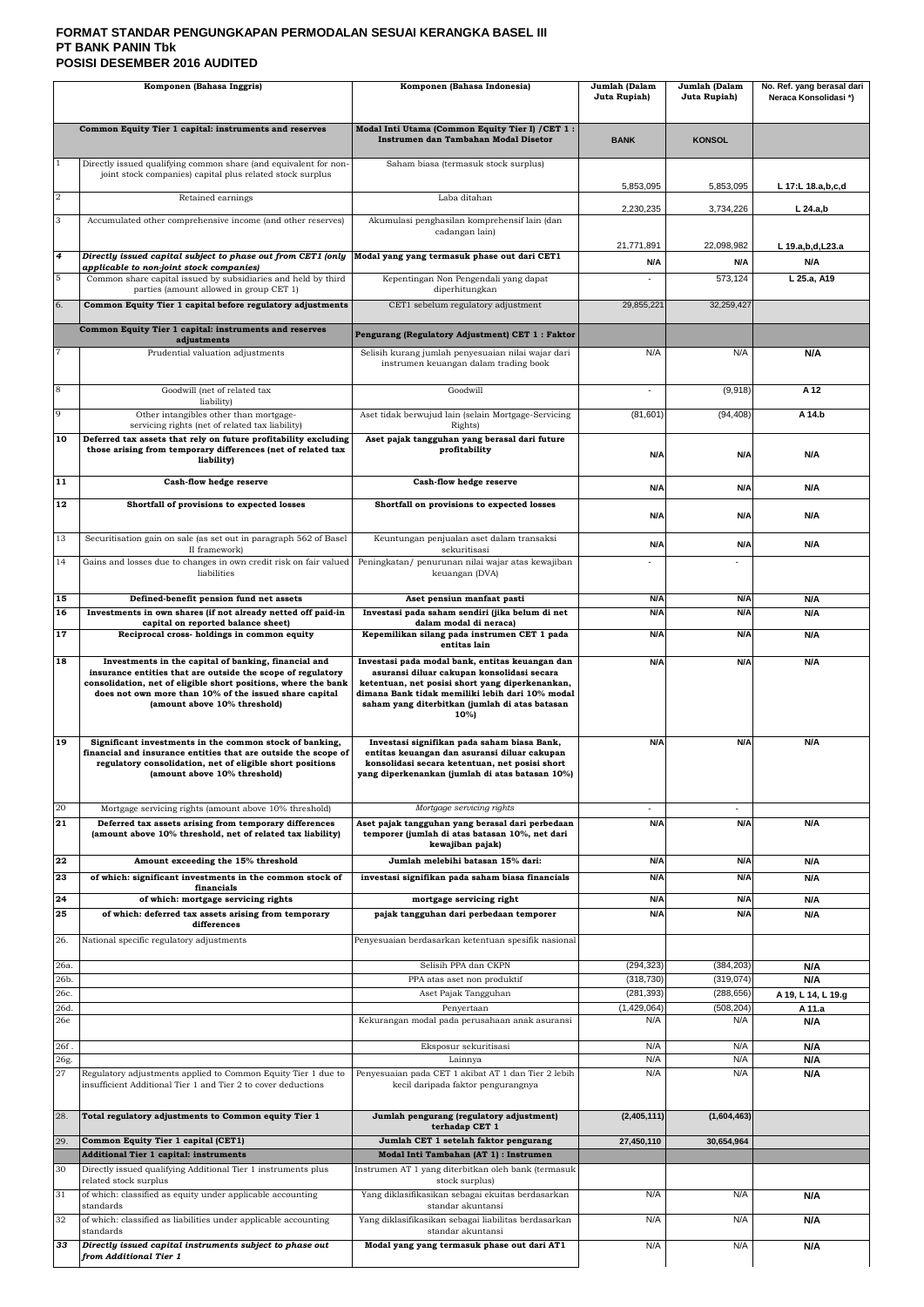## **FORMAT STANDAR PENGUNGKAPAN PERMODALAN SESUAI KERANGKA BASEL III PT BANK PANIN Tbk POSISI DESEMBER 2016 AUDITED**

|                | Komponen (Bahasa Inggris)                                                                                                                                                                                                                                                        | Komponen (Bahasa Indonesia)                                                                                                                                                                                                                                     | Jumlah (Dalam<br>Juta Rupiah) | Jumlah (Dalam<br>Juta Rupiah) | No. Ref. yang berasal dari<br>Neraca Konsolidasi*) |
|----------------|----------------------------------------------------------------------------------------------------------------------------------------------------------------------------------------------------------------------------------------------------------------------------------|-----------------------------------------------------------------------------------------------------------------------------------------------------------------------------------------------------------------------------------------------------------------|-------------------------------|-------------------------------|----------------------------------------------------|
|                | Common Equity Tier 1 capital: instruments and reserves                                                                                                                                                                                                                           | Modal Inti Utama (Common Equity Tier I) / CET 1:<br>Instrumen dan Tambahan Modal Disetor                                                                                                                                                                        | <b>BANK</b>                   | <b>KONSOL</b>                 |                                                    |
|                | Directly issued qualifying common share (and equivalent for non-<br>joint stock companies) capital plus related stock surplus                                                                                                                                                    | Saham biasa (termasuk stock surplus)                                                                                                                                                                                                                            |                               |                               |                                                    |
| $\overline{a}$ | Retained earnings                                                                                                                                                                                                                                                                | Laba ditahan                                                                                                                                                                                                                                                    | 5,853,095                     | 5,853,095                     | L 17:L 18.a,b,c,d                                  |
| 3              | Accumulated other comprehensive income (and other reserves)                                                                                                                                                                                                                      | Akumulasi penghasilan komprehensif lain (dan<br>cadangan lain)                                                                                                                                                                                                  | 2,230,235                     | 3,734,226                     | $L$ 24.a,b                                         |
| 4              | Directly issued capital subject to phase out from CET1 (only                                                                                                                                                                                                                     | Modal yang yang termasuk phase out dari CET1                                                                                                                                                                                                                    | 21,771,891<br>N/A             | 22,098,982<br>N/A             | L 19.a,b,d,L23.a<br>N/A                            |
| 5              | applicable to non-joint stock companies)<br>Common share capital issued by subsidiaries and held by third                                                                                                                                                                        | Kepentingan Non Pengendali yang dapat                                                                                                                                                                                                                           |                               | 573,124                       | L 25.a, A19                                        |
| 6.             | parties (amount allowed in group CET 1)<br>Common Equity Tier 1 capital before regulatory adjustments                                                                                                                                                                            | diperhitungkan<br>CET1 sebelum regulatory adjustment                                                                                                                                                                                                            | 29,855,221                    | 32,259,427                    |                                                    |
|                | Common Equity Tier 1 capital: instruments and reserves<br>adjustments                                                                                                                                                                                                            | Pengurang (Regulatory Adjustment) CET 1 : Faktor                                                                                                                                                                                                                |                               |                               |                                                    |
|                | Prudential valuation adjustments                                                                                                                                                                                                                                                 | Selisih kurang jumlah penyesuaian nilai wajar dari<br>instrumen keuangan dalam trading book                                                                                                                                                                     | N/A                           | N/A                           | N/A                                                |
| 8              | Goodwill (net of related tax                                                                                                                                                                                                                                                     | Goodwill                                                                                                                                                                                                                                                        |                               | (9,918)                       | A 12                                               |
| 9              | liability)<br>Other intangibles other than mortgage-                                                                                                                                                                                                                             | Aset tidak berwujud lain (selain Mortgage-Servicing                                                                                                                                                                                                             | (81, 601)                     | (94, 408)                     | A 14.b                                             |
| 10             | servicing rights (net of related tax liability)<br>Deferred tax assets that rely on future profitability excluding                                                                                                                                                               | Rights)<br>Aset pajak tangguhan yang berasal dari future                                                                                                                                                                                                        |                               |                               |                                                    |
|                | those arising from temporary differences (net of related tax<br>liability)                                                                                                                                                                                                       | profitability                                                                                                                                                                                                                                                   | N/A                           | N/A                           | N/A                                                |
| 11             | Cash-flow hedge reserve                                                                                                                                                                                                                                                          | Cash-flow hedge reserve                                                                                                                                                                                                                                         | N/A                           | N/A                           | N/A                                                |
| 12             | Shortfall of provisions to expected losses                                                                                                                                                                                                                                       | Shortfall on provisions to expected losses                                                                                                                                                                                                                      | N/A                           | N/A                           | N/A                                                |
| 13             | Securitisation gain on sale (as set out in paragraph 562 of Basel<br>II framework)                                                                                                                                                                                               | Keuntungan penjualan aset dalam transaksi<br>sekuritisasi                                                                                                                                                                                                       | N/A                           | N/A                           | N/A                                                |
| 14             | Gains and losses due to changes in own credit risk on fair valued<br>liabilities                                                                                                                                                                                                 | Peningkatan/ penurunan nilai wajar atas kewajiban<br>keuangan (DVA)                                                                                                                                                                                             |                               |                               |                                                    |
| 15<br>16       | Defined-benefit pension fund net assets<br>Investments in own shares (if not already netted off paid-in                                                                                                                                                                          | Aset pensiun manfaat pasti<br>Investasi pada saham sendiri (jika belum di net                                                                                                                                                                                   | N/A<br>N/A                    | N/A<br>N/A                    | N/A<br>N/A                                         |
| 17             | capital on reported balance sheet)<br>Reciprocal cross-holdings in common equity                                                                                                                                                                                                 | dalam modal di neraca)<br>Kepemilikan silang pada instrumen CET 1 pada                                                                                                                                                                                          | N/A                           | N/A                           | N/A                                                |
|                |                                                                                                                                                                                                                                                                                  | entitas lain                                                                                                                                                                                                                                                    |                               |                               |                                                    |
| 18             | Investments in the capital of banking, financial and<br>insurance entities that are outside the scope of regulatory<br>consolidation, net of eligible short positions, where the bank<br>does not own more than 10% of the issued share capital<br>(amount above 10% threshold)  | Investasi pada modal bank, entitas keuangan dan<br>asuransi diluar cakupan konsolidasi secara<br>ketentuan, net posisi short yang diperkenankan,<br>dimana Bank tidak memiliki lebih dari 10% modal<br>saham yang diterbitkan (jumlah di atas batasan<br>$10\%$ | N/A                           | N/A                           | N/A                                                |
| 19<br>20       | Significant investments in the common stock of banking,<br>financial and insurance entities that are outside the scope of<br>regulatory consolidation, net of eligible short positions<br>(amount above 10% threshold)<br>Mortgage servicing rights (amount above 10% threshold) | Investasi signifikan pada saham biasa Bank,<br>entitas keuangan dan asuransi diluar cakupan<br>konsolidasi secara ketentuan, net posisi short<br>yang diperkenankan (jumlah di atas batasan 10%)<br>Mortgage servicing rights                                   | N/A<br>$\sim$                 | N/A                           | N/A                                                |
| 21             | Deferred tax assets arising from temporary differences                                                                                                                                                                                                                           | Aset pajak tangguhan yang berasal dari perbedaan                                                                                                                                                                                                                | N/A                           | N/A                           | N/A                                                |
|                | (amount above 10% threshold, net of related tax liability)                                                                                                                                                                                                                       | temporer (jumlah di atas batasan 10%, net dari<br>kewajiban pajak)                                                                                                                                                                                              |                               |                               |                                                    |
| 22<br>23       | Amount exceeding the 15% threshold<br>of which: significant investments in the common stock of                                                                                                                                                                                   | Jumlah melebihi batasan 15% dari:<br>investasi signifikan pada saham biasa financials                                                                                                                                                                           | N/A<br>N/A                    | N/A<br>N/A                    | N/A<br>N/A                                         |
| 24             | financials<br>of which: mortgage servicing rights                                                                                                                                                                                                                                | mortgage servicing right                                                                                                                                                                                                                                        | N/A                           | N/A                           | N/A                                                |
| 25             | of which: deferred tax assets arising from temporary<br>differences                                                                                                                                                                                                              | pajak tangguhan dari perbedaan temporer                                                                                                                                                                                                                         | N/A                           | N/A                           | N/A                                                |
| 26.            | National specific regulatory adjustments                                                                                                                                                                                                                                         | Penyesuaian berdasarkan ketentuan spesifik nasional                                                                                                                                                                                                             |                               |                               |                                                    |
| 26a.<br>26b.   |                                                                                                                                                                                                                                                                                  | Selisih PPA dan CKPN<br>PPA atas aset non produktif                                                                                                                                                                                                             | (294, 323)<br>(318, 730)      | (384, 203)<br>(319, 074)      | N/A<br>N/A                                         |
| 26c.           |                                                                                                                                                                                                                                                                                  | Aset Pajak Tangguhan                                                                                                                                                                                                                                            | (281, 393)                    | (288, 656)                    | A 19, L 14, L 19.g                                 |
| 26d.<br>26e    |                                                                                                                                                                                                                                                                                  | Penyertaan<br>Kekurangan modal pada perusahaan anak asuransi                                                                                                                                                                                                    | (1,429,064)<br>N/A            | (508, 204)<br>N/A             | A 11.a<br>N/A                                      |
| 26f.<br>26g.   |                                                                                                                                                                                                                                                                                  | Eksposur sekuritisasi<br>Lainnya                                                                                                                                                                                                                                | N/A<br>N/A                    | N/A<br>N/A                    | N/A<br>N/A                                         |
| 27             | Regulatory adjustments applied to Common Equity Tier 1 due to<br>insufficient Additional Tier 1 and Tier 2 to cover deductions                                                                                                                                                   | Penyesuaian pada CET 1 akibat AT 1 dan Tier 2 lebih<br>kecil daripada faktor pengurangnya                                                                                                                                                                       | N/A                           | N/A                           | N/A                                                |
| 28.            | Total regulatory adjustments to Common equity Tier 1                                                                                                                                                                                                                             | Jumlah pengurang (regulatory adjustment)<br>terhadap CET 1                                                                                                                                                                                                      | (2,405,111)                   | (1,604,463)                   |                                                    |
| 29.            | Common Equity Tier 1 capital (CET1)                                                                                                                                                                                                                                              | Jumlah CET 1 setelah faktor pengurang                                                                                                                                                                                                                           | 27,450,110                    | 30,654,964                    |                                                    |
| 30             | Additional Tier 1 capital: instruments<br>Directly issued qualifying Additional Tier 1 instruments plus                                                                                                                                                                          | Modal Inti Tambahan (AT 1) : Instrumen<br>Instrumen AT 1 yang diterbitkan oleh bank (termasuk                                                                                                                                                                   |                               |                               |                                                    |
|                | related stock surplus                                                                                                                                                                                                                                                            | stock surplus)                                                                                                                                                                                                                                                  |                               |                               |                                                    |
| 31             | of which: classified as equity under applicable accounting<br>standards                                                                                                                                                                                                          | Yang diklasifikasikan sebagai ekuitas berdasarkan<br>standar akuntansi                                                                                                                                                                                          | N/A                           | N/A                           | N/A                                                |
| 32             | of which: classified as liabilities under applicable accounting<br>standards                                                                                                                                                                                                     | Yang diklasifikasikan sebagai liabilitas berdasarkan<br>standar akuntansi                                                                                                                                                                                       | N/A                           | N/A                           | N/A                                                |
| 33             | Directly issued capital instruments subject to phase out<br>from Additional Tier 1                                                                                                                                                                                               | Modal yang yang termasuk phase out dari AT1                                                                                                                                                                                                                     | N/A                           | N/A                           | N/A                                                |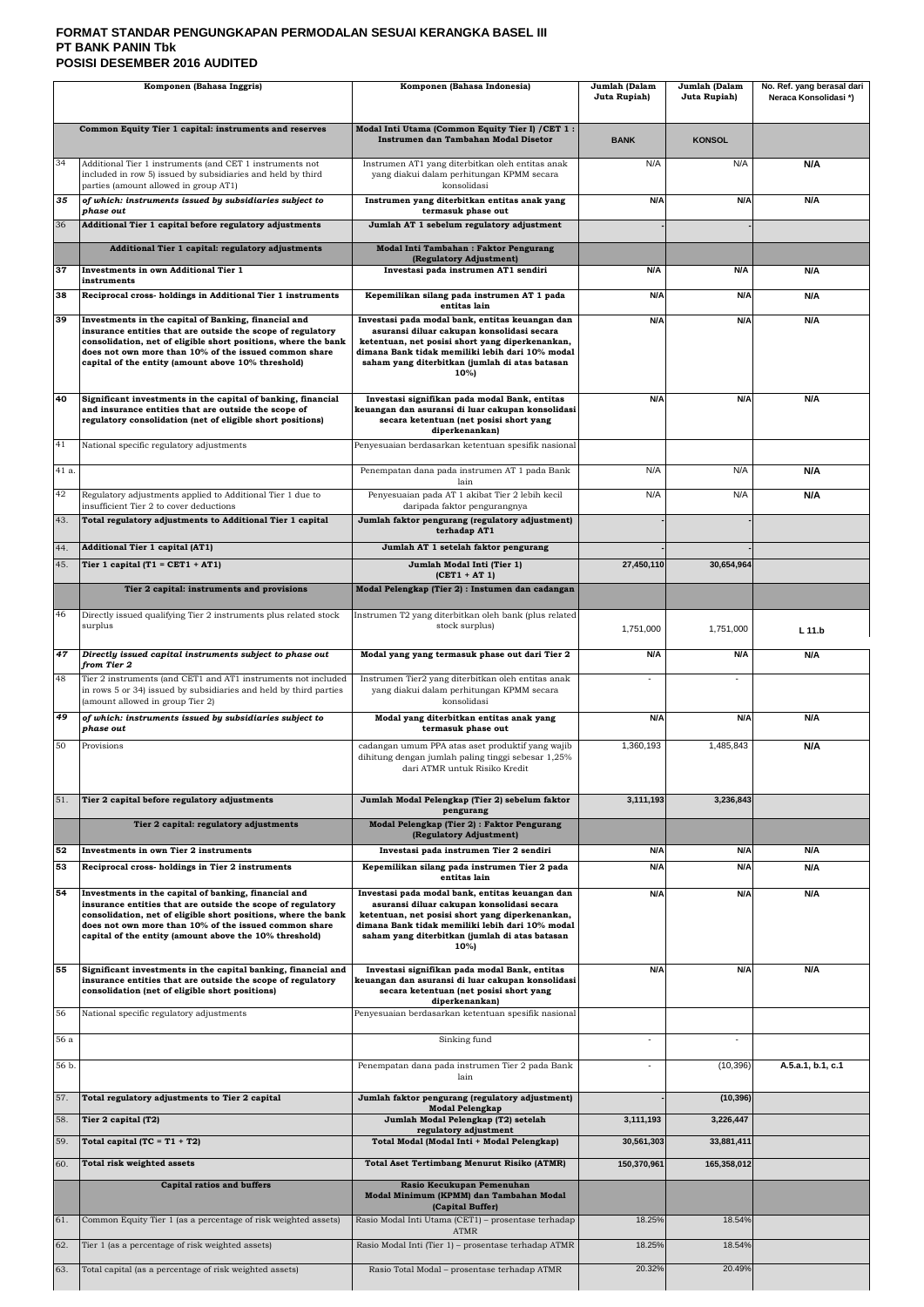## **FORMAT STANDAR PENGUNGKAPAN PERMODALAN SESUAI KERANGKA BASEL III PT BANK PANIN Tbk POSISI DESEMBER 2016 AUDITED**

| Komponen (Bahasa Inggris) |                                                                                                                                                                                                                                                                                                          | Komponen (Bahasa Indonesia)                                                                                                                                                                                                                                                     | Jumlah (Dalam<br>Juta Rupiah) | Jumlah (Dalam<br>Juta Rupiah) | No. Ref. yang berasal dari<br>Neraca Konsolidasi*) |
|---------------------------|----------------------------------------------------------------------------------------------------------------------------------------------------------------------------------------------------------------------------------------------------------------------------------------------------------|---------------------------------------------------------------------------------------------------------------------------------------------------------------------------------------------------------------------------------------------------------------------------------|-------------------------------|-------------------------------|----------------------------------------------------|
|                           | Common Equity Tier 1 capital: instruments and reserves                                                                                                                                                                                                                                                   | Modal Inti Utama (Common Equity Tier I) / CET 1:<br>Instrumen dan Tambahan Modal Disetor                                                                                                                                                                                        | <b>BANK</b>                   | <b>KONSOL</b>                 |                                                    |
| 34                        | Additional Tier 1 instruments (and CET 1 instruments not<br>included in row 5) issued by subsidiaries and held by third<br>parties (amount allowed in group AT1)                                                                                                                                         | Instrumen AT1 yang diterbitkan oleh entitas anak<br>yang diakui dalam perhitungan KPMM secara<br>konsolidasi                                                                                                                                                                    | N/A                           | N/A                           | N/A                                                |
| 35                        | of which: instruments issued by subsidiaries subject to<br>phase out                                                                                                                                                                                                                                     | Instrumen yang diterbitkan entitas anak yang<br>termasuk phase out                                                                                                                                                                                                              | N/A                           | N/A                           | N/A                                                |
| 36                        | Additional Tier 1 capital before regulatory adjustments                                                                                                                                                                                                                                                  | Jumlah AT 1 sebelum regulatory adjustment                                                                                                                                                                                                                                       |                               |                               |                                                    |
|                           | Additional Tier 1 capital: regulatory adjustments                                                                                                                                                                                                                                                        | Modal Inti Tambahan: Faktor Pengurang                                                                                                                                                                                                                                           |                               |                               |                                                    |
| 37                        | Investments in own Additional Tier 1                                                                                                                                                                                                                                                                     | (Regulatory Adjustment)<br>Investasi pada instrumen AT1 sendiri                                                                                                                                                                                                                 | N/A                           | N/A                           | N/A                                                |
| 38                        | instruments<br>Reciprocal cross- holdings in Additional Tier 1 instruments                                                                                                                                                                                                                               | Kepemilikan silang pada instrumen AT 1 pada                                                                                                                                                                                                                                     | N/A                           | N/A                           | N/A                                                |
|                           |                                                                                                                                                                                                                                                                                                          | entitas lain                                                                                                                                                                                                                                                                    |                               |                               |                                                    |
| 39                        | Investments in the capital of Banking, financial and<br>insurance entities that are outside the scope of regulatory<br>consolidation, net of eligible short positions, where the bank<br>does not own more than 10% of the issued common share<br>capital of the entity (amount above 10% threshold)     | Investasi pada modal bank, entitas keuangan dan<br>asuransi diluar cakupan konsolidasi secara<br>ketentuan, net posisi short yang diperkenankan,<br>dimana Bank tidak memiliki lebih dari 10% modal<br>saham yang diterbitkan (jumlah di atas batasan<br>10%)                   | N/A                           | N/A                           | N/A                                                |
| 40                        | Significant investments in the capital of banking, financial<br>and insurance entities that are outside the scope of<br>regulatory consolidation (net of eligible short positions)                                                                                                                       | Investasi signifikan pada modal Bank, entitas<br>keuangan dan asuransi di luar cakupan konsolidasi<br>secara ketentuan (net posisi short yang<br>diperkenankan)                                                                                                                 | N/A                           | N/A                           | N/A                                                |
| 41                        | National specific regulatory adjustments                                                                                                                                                                                                                                                                 | Penyesuaian berdasarkan ketentuan spesifik nasional                                                                                                                                                                                                                             |                               |                               |                                                    |
| 41 a.                     |                                                                                                                                                                                                                                                                                                          | Penempatan dana pada instrumen AT 1 pada Bank<br>lain                                                                                                                                                                                                                           | N/A                           | N/A                           | N/A                                                |
| 42                        | Regulatory adjustments applied to Additional Tier 1 due to                                                                                                                                                                                                                                               | Penyesuaian pada AT 1 akibat Tier 2 lebih kecil                                                                                                                                                                                                                                 | N/A                           | N/A                           | N/A                                                |
| 43.                       | insufficient Tier 2 to cover deductions<br>Total regulatory adjustments to Additional Tier 1 capital                                                                                                                                                                                                     | daripada faktor pengurangnya<br>Jumlah faktor pengurang (regulatory adjustment)                                                                                                                                                                                                 |                               |                               |                                                    |
|                           |                                                                                                                                                                                                                                                                                                          | terhadap AT1                                                                                                                                                                                                                                                                    |                               |                               |                                                    |
| 44.<br>45.                | Additional Tier 1 capital (AT1)<br>Tier 1 capital (T1 = CET1 + AT1)                                                                                                                                                                                                                                      | Jumlah AT 1 setelah faktor pengurang<br>Jumlah Modal Inti (Tier 1)                                                                                                                                                                                                              | 27,450,110                    | 30,654,964                    |                                                    |
|                           | Tier 2 capital: instruments and provisions                                                                                                                                                                                                                                                               | $(CET1 + AT1)$<br>Modal Pelengkap (Tier 2) : Instumen dan cadangan                                                                                                                                                                                                              |                               |                               |                                                    |
| 46                        | Directly issued qualifying Tier 2 instruments plus related stock<br>surplus                                                                                                                                                                                                                              | Instrumen T2 yang diterbitkan oleh bank (plus related<br>stock surplus)                                                                                                                                                                                                         | 1,751,000                     | 1,751,000                     | $L$ 11.b                                           |
| 47                        | Directly issued capital instruments subject to phase out<br>from Tier 2                                                                                                                                                                                                                                  | Modal yang yang termasuk phase out dari Tier 2                                                                                                                                                                                                                                  | N/A                           | N/A                           | N/A                                                |
| 48                        | Tier 2 instruments (and CET1 and AT1 instruments not included<br>in rows 5 or 34) issued by subsidiaries and held by third parties<br>(amount allowed in group Tier 2)                                                                                                                                   | Instrumen Tier2 yang diterbitkan oleh entitas anak<br>yang diakui dalam perhitungan KPMM secara<br>konsolidasi                                                                                                                                                                  |                               |                               |                                                    |
| 49                        | of which: instruments issued by subsidiaries subject to<br>phase out                                                                                                                                                                                                                                     | Modal yang diterbitkan entitas anak yang<br>termasuk phase out                                                                                                                                                                                                                  | N/A                           | N/A                           | N/A                                                |
| 50                        | Provisions                                                                                                                                                                                                                                                                                               | cadangan umum PPA atas aset produktif yang wajib<br>dihitung dengan jumlah paling tinggi sebesar 1,25%<br>dari ATMR untuk Risiko Kredit                                                                                                                                         | 1,360,193                     | 1,485,843                     | N/A                                                |
| 51.                       | Tier 2 capital before regulatory adjustments                                                                                                                                                                                                                                                             | Jumlah Modal Pelengkap (Tier 2) sebelum faktor                                                                                                                                                                                                                                  | 3,111,193                     | 3,236,843                     |                                                    |
|                           | Tier 2 capital: regulatory adjustments                                                                                                                                                                                                                                                                   | pengurang<br>Modal Pelengkap (Tier 2) : Faktor Pengurang                                                                                                                                                                                                                        |                               |                               |                                                    |
|                           |                                                                                                                                                                                                                                                                                                          | (Regulatory Adjustment)                                                                                                                                                                                                                                                         |                               |                               |                                                    |
| 52<br>53                  | Investments in own Tier 2 instruments<br>Reciprocal cross- holdings in Tier 2 instruments                                                                                                                                                                                                                | Investasi pada instrumen Tier 2 sendiri<br>Kepemilikan silang pada instrumen Tier 2 pada                                                                                                                                                                                        | N/A<br>N/A                    | N/A<br>N/A                    | N/A<br>N/A                                         |
| 54                        | Investments in the capital of banking, financial and<br>insurance entities that are outside the scope of regulatory<br>consolidation, net of eligible short positions, where the bank<br>does not own more than 10% of the issued common share<br>capital of the entity (amount above the 10% threshold) | entitas lain<br>Investasi pada modal bank, entitas keuangan dan<br>asuransi diluar cakupan konsolidasi secara<br>ketentuan, net posisi short yang diperkenankan,<br>dimana Bank tidak memiliki lebih dari 10% modal<br>saham yang diterbitkan (jumlah di atas batasan<br>$10\%$ | N/A                           | N/A                           | N/A                                                |
| 55                        | Significant investments in the capital banking, financial and<br>insurance entities that are outside the scope of regulatory<br>consolidation (net of eligible short positions)                                                                                                                          | Investasi signifikan pada modal Bank, entitas<br>keuangan dan asuransi di luar cakupan konsolidasi<br>secara ketentuan (net posisi short yang<br>diperkenankan)                                                                                                                 | N/A                           | N/A                           | N/A                                                |
| 56                        | National specific regulatory adjustments                                                                                                                                                                                                                                                                 | Penyesuaian berdasarkan ketentuan spesifik nasional                                                                                                                                                                                                                             |                               |                               |                                                    |
| 56 a                      |                                                                                                                                                                                                                                                                                                          | Sinking fund                                                                                                                                                                                                                                                                    |                               |                               |                                                    |
| 56 b.                     |                                                                                                                                                                                                                                                                                                          | Penempatan dana pada instrumen Tier 2 pada Bank<br>lain                                                                                                                                                                                                                         |                               | (10, 396)                     | A.5.a.1, b.1, c.1                                  |
| 57.                       | Total regulatory adjustments to Tier 2 capital                                                                                                                                                                                                                                                           | Jumlah faktor pengurang (regulatory adjustment)<br><b>Modal Pelengkap</b>                                                                                                                                                                                                       |                               | (10, 396)                     |                                                    |
| 58.                       | Tier 2 capital (T2)                                                                                                                                                                                                                                                                                      | Jumlah Modal Pelengkap (T2) setelah<br>regulatory adjustment                                                                                                                                                                                                                    | 3,111,193                     | 3,226,447                     |                                                    |
| 59.                       | Total capital $(TC = T1 + T2)$                                                                                                                                                                                                                                                                           | Total Modal (Modal Inti + Modal Pelengkap)                                                                                                                                                                                                                                      | 30,561,303                    | 33,881,411                    |                                                    |
| 60.                       | Total risk weighted assets                                                                                                                                                                                                                                                                               | <b>Total Aset Tertimbang Menurut Risiko (ATMR)</b>                                                                                                                                                                                                                              | 150,370,961                   | 165,358,012                   |                                                    |
|                           | <b>Capital ratios and buffers</b>                                                                                                                                                                                                                                                                        | Rasio Kecukupan Pemenuhan<br>Modal Minimum (KPMM) dan Tambahan Modal                                                                                                                                                                                                            |                               |                               |                                                    |
| 61.                       | Common Equity Tier 1 (as a percentage of risk weighted assets)                                                                                                                                                                                                                                           | (Capital Buffer)<br>Rasio Modal Inti Utama (CET1) - prosentase terhadap                                                                                                                                                                                                         | 18.25%                        | 18.54%                        |                                                    |
|                           |                                                                                                                                                                                                                                                                                                          | <b>ATMR</b>                                                                                                                                                                                                                                                                     |                               |                               |                                                    |
| 62.                       | Tier 1 (as a percentage of risk weighted assets)                                                                                                                                                                                                                                                         | Rasio Modal Inti (Tier 1) - prosentase terhadap ATMR                                                                                                                                                                                                                            | 18.25%                        | 18.54%                        |                                                    |
| 63.                       | Total capital (as a percentage of risk weighted assets)                                                                                                                                                                                                                                                  | Rasio Total Modal - prosentase terhadap ATMR                                                                                                                                                                                                                                    | 20.32%                        | 20.49%                        |                                                    |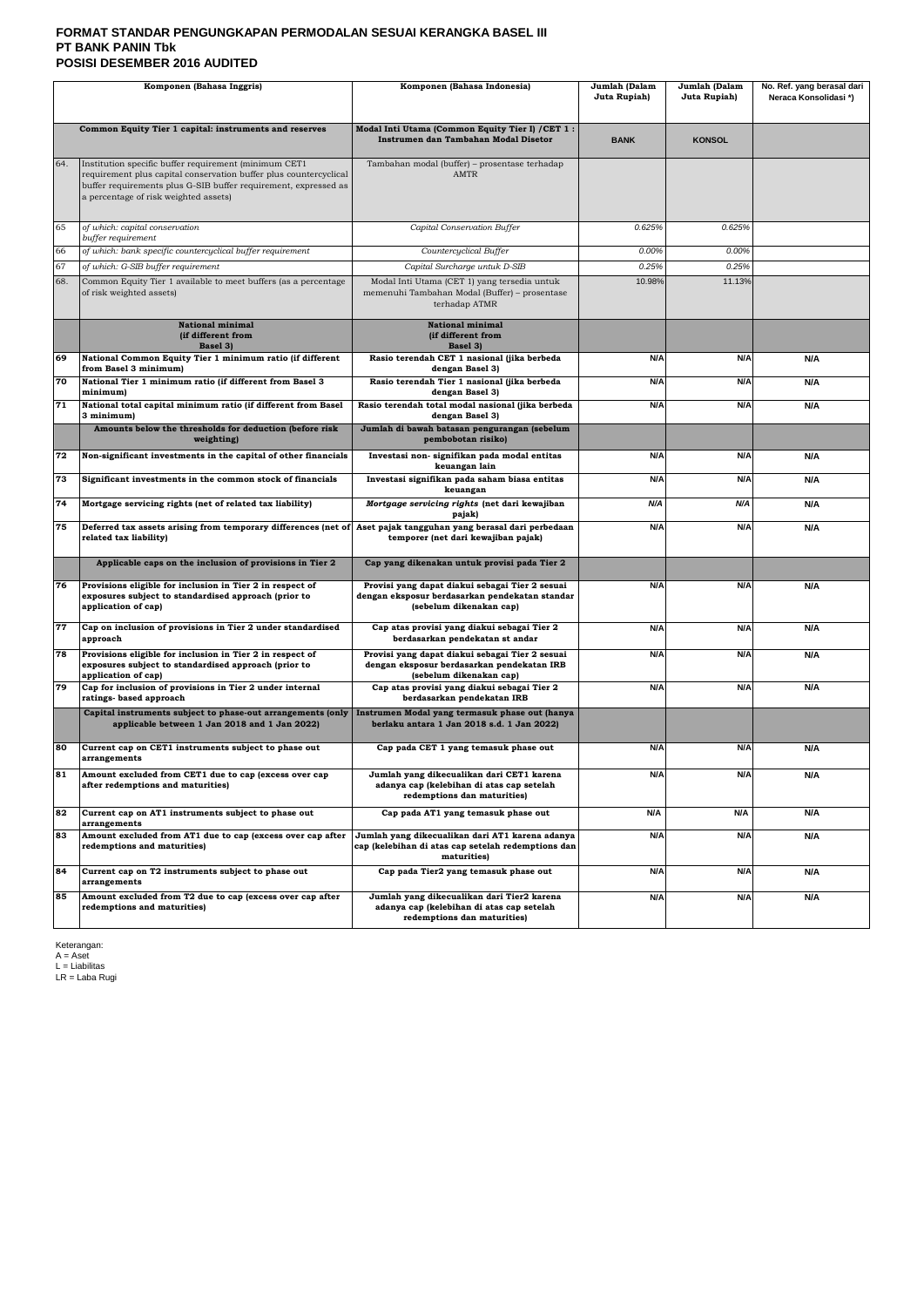## **FORMAT STANDAR PENGUNGKAPAN PERMODALAN SESUAI KERANGKA BASEL III PT BANK PANIN Tbk POSISI DESEMBER 2016 AUDITED**

| Komponen (Bahasa Inggris)                                                                      |                                                                                                                                                                                                                                        | Komponen (Bahasa Indonesia)                                                                                                  | Jumlah (Dalam<br>Juta Rupiah) | Jumlah (Dalam<br>Juta Rupiah) | No. Ref. yang berasal dari<br>Neraca Konsolidasi*) |
|------------------------------------------------------------------------------------------------|----------------------------------------------------------------------------------------------------------------------------------------------------------------------------------------------------------------------------------------|------------------------------------------------------------------------------------------------------------------------------|-------------------------------|-------------------------------|----------------------------------------------------|
|                                                                                                |                                                                                                                                                                                                                                        |                                                                                                                              |                               |                               |                                                    |
|                                                                                                | Common Equity Tier 1 capital: instruments and reserves                                                                                                                                                                                 | Modal Inti Utama (Common Equity Tier I) / CET 1:<br>Instrumen dan Tambahan Modal Disetor                                     | <b>BANK</b>                   | <b>KONSOL</b>                 |                                                    |
| 64.                                                                                            | Institution specific buffer requirement (minimum CET1<br>requirement plus capital conservation buffer plus countercyclical<br>buffer requirements plus G-SIB buffer requirement, expressed as<br>a percentage of risk weighted assets) | Tambahan modal (buffer) - prosentase terhadap<br><b>AMTR</b>                                                                 |                               |                               |                                                    |
| 65                                                                                             | of which: capital conservation<br>buffer requirement                                                                                                                                                                                   | Capital Conservation Buffer                                                                                                  | 0.625%                        | 0.625%                        |                                                    |
| 66                                                                                             | of which: bank specific countercyclical buffer requirement                                                                                                                                                                             | Countercyclical Buffer                                                                                                       | 0.00%                         | 0.00%                         |                                                    |
| 67                                                                                             | of which: G-SIB buffer requirement                                                                                                                                                                                                     | Capital Surcharge untuk D-SIB                                                                                                | 0.25%                         | 0.25%                         |                                                    |
| 68.                                                                                            | Common Equity Tier 1 available to meet buffers (as a percentage<br>of risk weighted assets)                                                                                                                                            | Modal Inti Utama (CET 1) yang tersedia untuk<br>memenuhi Tambahan Modal (Buffer) - prosentase<br>terhadap ATMR               | 10.98%                        | 11.13%                        |                                                    |
|                                                                                                | <b>National minimal</b><br>(if different from<br>Basel 3)                                                                                                                                                                              | National minimal<br>(if different from<br>Basel 3)                                                                           |                               |                               |                                                    |
| 69                                                                                             | National Common Equity Tier 1 minimum ratio (if different<br>from Basel 3 minimum)                                                                                                                                                     | Rasio terendah CET 1 nasional (jika berbeda<br>dengan Basel 3)                                                               | N/A                           | N/A                           | N/A                                                |
| 70                                                                                             | National Tier 1 minimum ratio (if different from Basel 3<br>minimum)                                                                                                                                                                   | Rasio terendah Tier 1 nasional (jika berbeda<br>dengan Basel 3)                                                              | N/A                           | N/A                           | N/A                                                |
| 71                                                                                             | National total capital minimum ratio (if different from Basel<br>3 minimum)                                                                                                                                                            | Rasio terendah total modal nasional (jika berbeda<br>dengan Basel 3)                                                         | N/A                           | N/A                           | N/A                                                |
|                                                                                                | Amounts below the thresholds for deduction (before risk<br>weighting)                                                                                                                                                                  | Jumlah di bawah batasan pengurangan (sebelum<br>pembobotan risiko)                                                           |                               |                               |                                                    |
| 72                                                                                             | Non-significant investments in the capital of other financials                                                                                                                                                                         | Investasi non-signifikan pada modal entitas<br>keuangan lain                                                                 | N/A                           | N/A                           | N/A                                                |
| 73                                                                                             | Significant investments in the common stock of financials                                                                                                                                                                              | Investasi signifikan pada saham biasa entitas<br>keuangan                                                                    | N/A                           | N/A                           | N/A                                                |
| 74                                                                                             | Mortgage servicing rights (net of related tax liability)                                                                                                                                                                               | Mortgage servicing rights (net dari kewajiban<br>pajak)                                                                      | N/A                           | N/A                           | N/A                                                |
| 75                                                                                             | Deferred tax assets arising from temporary differences (net of<br>related tax liability)                                                                                                                                               | Aset pajak tangguhan yang berasal dari perbedaan<br>temporer (net dari kewajiban pajak)                                      | N/A                           | N/A                           | N/A                                                |
|                                                                                                | Applicable caps on the inclusion of provisions in Tier 2                                                                                                                                                                               | Cap yang dikenakan untuk provisi pada Tier 2                                                                                 |                               |                               |                                                    |
| 76                                                                                             | Provisions eligible for inclusion in Tier 2 in respect of<br>exposures subject to standardised approach (prior to<br>application of cap)                                                                                               | Provisi yang dapat diakui sebagai Tier 2 sesuai<br>dengan eksposur berdasarkan pendekatan standar<br>(sebelum dikenakan cap) | N/A                           | N/A                           | N/A                                                |
| 77                                                                                             | Cap on inclusion of provisions in Tier 2 under standardised<br>approach                                                                                                                                                                | Cap atas provisi yang diakui sebagai Tier 2<br>berdasarkan pendekatan st andar                                               | N/A                           | N/A                           | N/A                                                |
| 78                                                                                             | Provisions eligible for inclusion in Tier 2 in respect of<br>exposures subject to standardised approach (prior to<br>application of cap)                                                                                               | Provisi yang dapat diakui sebagai Tier 2 sesuai<br>dengan eksposur berdasarkan pendekatan IRB<br>(sebelum dikenakan cap)     | N/A                           | N/A                           | N/A                                                |
| 79                                                                                             | Cap for inclusion of provisions in Tier 2 under internal<br>ratings- based approach                                                                                                                                                    | Cap atas provisi yang diakui sebagai Tier 2<br>berdasarkan pendekatan IRB                                                    | N/A                           | N/A                           | N/A                                                |
|                                                                                                | Capital instruments subject to phase-out arrangements (only<br>applicable between 1 Jan 2018 and 1 Jan 2022)                                                                                                                           | Instrumen Modal yang termasuk phase out (hanya<br>berlaku antara 1 Jan 2018 s.d. 1 Jan 2022)                                 |                               |                               |                                                    |
| 80                                                                                             | Current cap on CET1 instruments subject to phase out<br>arrangements                                                                                                                                                                   | Cap pada CET 1 yang temasuk phase out                                                                                        | N/A                           | N/A                           | N/A                                                |
| 81                                                                                             | Amount excluded from CET1 due to cap (excess over cap<br>after redemptions and maturities)                                                                                                                                             | Jumlah yang dikecualikan dari CET1 karena<br>adanya cap (kelebihan di atas cap setelah<br>redemptions dan maturities)        | N/A                           | N/A                           | N/A                                                |
| 82                                                                                             | Current cap on AT1 instruments subject to phase out<br>arrangements                                                                                                                                                                    | Cap pada AT1 yang temasuk phase out                                                                                          | N/A                           | N/A                           | N/A                                                |
| 83                                                                                             | Amount excluded from AT1 due to cap (excess over cap after<br>redemptions and maturities)                                                                                                                                              | Jumlah yang dikecualikan dari AT1 karena adanya<br>cap (kelebihan di atas cap setelah redemptions dan<br>maturities)         | N/A                           | N/A                           | N/A                                                |
| 84                                                                                             | Current cap on T2 instruments subject to phase out<br>arrangements                                                                                                                                                                     | Cap pada Tier2 yang temasuk phase out                                                                                        | N/A                           | N/A                           | N/A                                                |
| 85<br>Amount excluded from T2 due to cap (excess over cap after<br>redemptions and maturities) |                                                                                                                                                                                                                                        | Jumlah yang dikecualikan dari Tier2 karena<br>adanya cap (kelebihan di atas cap setelah<br>redemptions dan maturities)       | N/A                           | N/A                           | N/A                                                |

Keterangan: A = Aset L = Liabilitas LR = Laba Rugi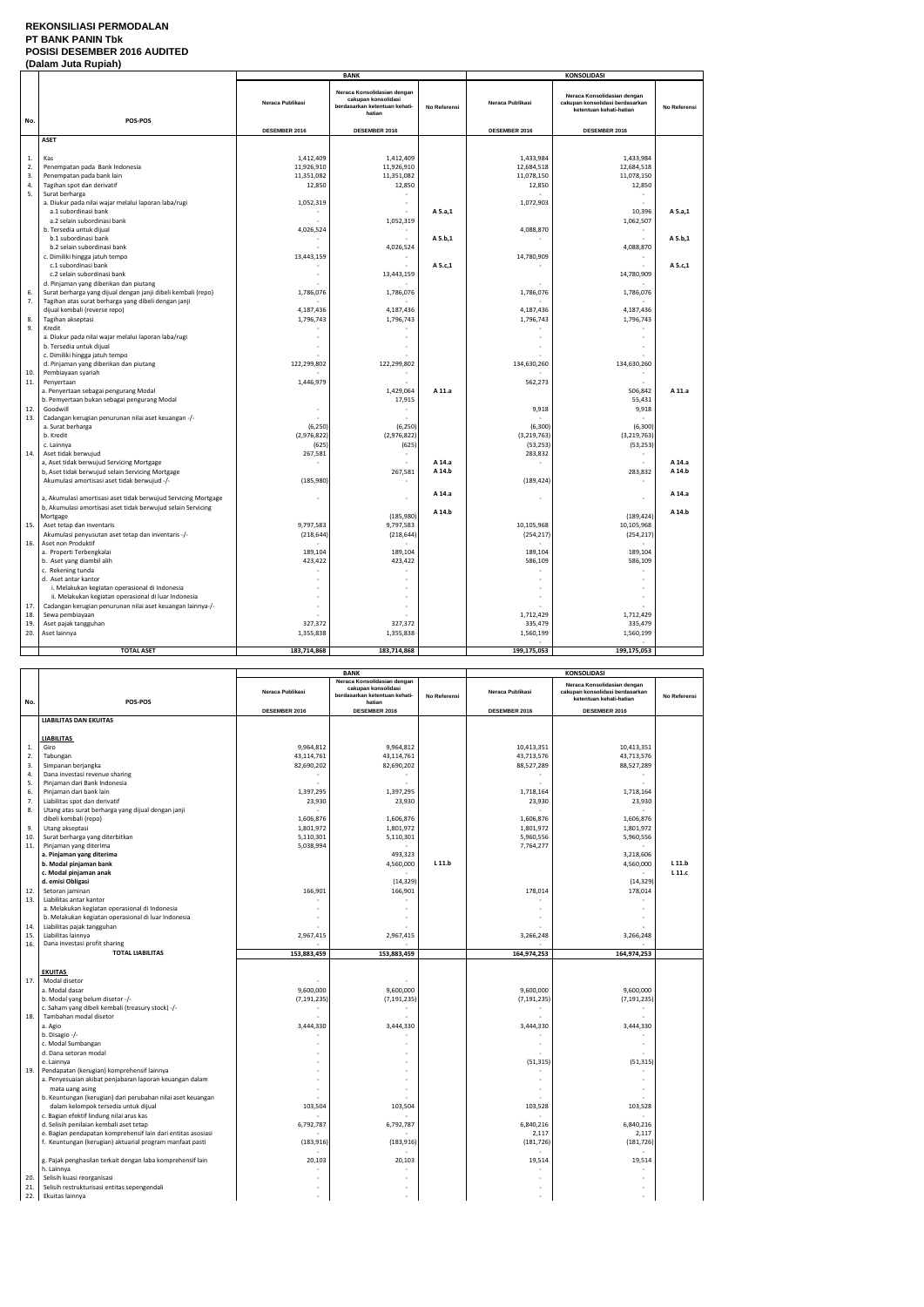#### **REKONSILIASI PERMODALAN PT BANK PANIN Tbk POSISI DESEMBER 2016 AUDITED (Dalam Juta Rupiah)**

|          | (Dalam Jula Ruplan)                                                                                    |                  | <b>BANK</b>                                                                                   |              |                   | <b>KONSOLIDASI</b>                                                                        |              |
|----------|--------------------------------------------------------------------------------------------------------|------------------|-----------------------------------------------------------------------------------------------|--------------|-------------------|-------------------------------------------------------------------------------------------|--------------|
| No.      | POS-POS                                                                                                | Neraca Publikasi | Neraca Konsolidasian dengan<br>cakupan konsolidasi<br>berdasarkan ketentuan kehati-<br>hatian | No Referensi | Neraca Publikasi  | Neraca Konsolidasian dengan<br>cakupan konsolidasi berdasarkan<br>ketentuan kehati-hatian | No Referensi |
|          |                                                                                                        | DESEMBER 2016    | DESEMBER 2016                                                                                 |              | DESEMBER 2016     | DESEMBER 2016                                                                             |              |
|          | <b>ASET</b>                                                                                            |                  |                                                                                               |              |                   |                                                                                           |              |
|          |                                                                                                        |                  |                                                                                               |              |                   |                                                                                           |              |
| 1.       | Kas                                                                                                    | 1,412,409        | 1,412,409                                                                                     |              | 1,433,984         | 1,433,984                                                                                 |              |
| 2.       | Penempatan pada Bank Indonesia                                                                         | 11,926,910       | 11,926,910                                                                                    |              | 12,684,518        | 12,684,518                                                                                |              |
| 3.       | Penempatan pada bank lain                                                                              | 11,351,082       | 11,351,082                                                                                    |              | 11,078,150        | 11,078,150                                                                                |              |
| 4.<br>5. | Tagihan spot dan derivatif<br>Surat berharga                                                           | 12,850           | 12,850                                                                                        |              | 12,850            | 12,850                                                                                    |              |
|          | a. Diukur pada nilai wajar melalui laporan laba/rugi                                                   | 1,052,319        | $\overline{\phantom{a}}$                                                                      |              | 1,072,903         |                                                                                           |              |
|          | a.1 subordinasi bank                                                                                   |                  |                                                                                               | A 5.a,1      |                   | 10,396                                                                                    | A 5.a,1      |
|          | a.2 selain subordinasi bank                                                                            |                  | 1,052,319                                                                                     |              |                   | 1,062,507                                                                                 |              |
|          | b. Tersedia untuk dijual                                                                               | 4,026,524        | $\sim$                                                                                        |              | 4,088,870         |                                                                                           |              |
|          | b.1 subordinasi bank                                                                                   |                  |                                                                                               | A 5.b,1      |                   |                                                                                           | A 5.b,1      |
|          | b.2 selain subordinasi bank                                                                            |                  | 4,026,524                                                                                     |              |                   | 4,088,870                                                                                 |              |
|          | c. Dimiliki hingga jatuh tempo<br>c.1 subordinasi bank                                                 | 13,443,159       |                                                                                               | A 5.c,1      | 14,780,909        |                                                                                           | A 5.c,1      |
|          | c.2 selain subordinasi bank                                                                            |                  | 13,443,159                                                                                    |              |                   | 14,780,909                                                                                |              |
|          | d. Pinjaman yang diberikan dan piutang                                                                 |                  |                                                                                               |              |                   |                                                                                           |              |
| 6.       | Surat berharga yang dijual dengan janji dibeli kembali (repo)                                          | 1,786,076        | 1,786,076                                                                                     |              | 1,786,076         | 1,786,076                                                                                 |              |
| 7.       | Tagihan atas surat berharga yang dibeli dengan janji                                                   |                  |                                                                                               |              |                   |                                                                                           |              |
|          | dijual kembali (reverse repo)                                                                          | 4,187,436        | 4,187,436                                                                                     |              | 4,187,436         | 4,187,436                                                                                 |              |
| 8.<br>9. | Tagihan akseptasi                                                                                      | 1,796,743        | 1,796,743                                                                                     |              | 1,796,743         | 1,796,743                                                                                 |              |
|          | Kredit<br>a. Diukur pada nilai wajar melalui laporan laba/rugi                                         | $\sim$           | $\overline{\phantom{a}}$                                                                      |              |                   |                                                                                           |              |
|          | b. Tersedia untuk dijual                                                                               |                  |                                                                                               |              |                   |                                                                                           |              |
|          | c. Dimiliki hingga jatuh tempo                                                                         |                  |                                                                                               |              |                   |                                                                                           |              |
|          | d. Pinjaman yang diberikan dan piutang                                                                 | 122,299,802      | 122,299,802                                                                                   |              | 134,630,260       | 134,630,260                                                                               |              |
| 10.      | Pembiayaan syariah                                                                                     |                  |                                                                                               |              |                   |                                                                                           |              |
| 11.      | Penyertaan                                                                                             | 1,446,979        |                                                                                               |              | 562,273           |                                                                                           |              |
|          | a. Penyertaan sebagai pengurang Modal<br>b. Pemyertaan bukan sebagai pengurang Modal                   |                  | 1,429,064<br>17,915                                                                           | A 11.a       |                   | 506,842<br>55,431                                                                         | A 11.a       |
| 12.      | Goodwill                                                                                               |                  |                                                                                               |              | 9,918             | 9,918                                                                                     |              |
| 13.      | Cadangan kerugian penurunan nilai aset keuangan -/-                                                    |                  |                                                                                               |              |                   |                                                                                           |              |
|          | a. Surat berharga                                                                                      | (6, 250)         | (6, 250)                                                                                      |              | (6, 300)          | (6,300)                                                                                   |              |
|          | b. Kredit                                                                                              | (2,976,822)      | (2,976,822)                                                                                   |              | (3, 219, 763)     | (3, 219, 763)                                                                             |              |
|          | c. Lainnya                                                                                             | (625)            | (625)                                                                                         |              | (53, 253)         | (53, 253)                                                                                 |              |
| 14.      | Aset tidak berwujud                                                                                    | 267,581          |                                                                                               | A 14.a       | 283,832<br>$\sim$ |                                                                                           | A 14.a       |
|          | a, Aset tidak berwujud Servicing Mortgage<br>b, Aset tidak berwujud selain Servicing Mortgage          |                  | 267,581                                                                                       | A 14.b       |                   | 283,832                                                                                   | A 14.b       |
|          | Akumulasi amortisasi aset tidak berwujud -/-                                                           | (185, 980)       |                                                                                               |              | (189, 424)        |                                                                                           |              |
|          |                                                                                                        |                  |                                                                                               | A 14.a       |                   |                                                                                           | A 14.a       |
|          | a, Akumulasi amortisasi aset tidak berwujud Servicing Mortgage                                         |                  | $\sim$                                                                                        |              |                   | $\sim$                                                                                    |              |
|          | b, Akumulasi amortisasi aset tidak berwujud selain Servicing                                           |                  |                                                                                               | A 14.b       |                   |                                                                                           | A 14.b       |
|          | Mortgage<br>Aset tetap dan inventaris                                                                  | 9,797,583        | (185,980)<br>9,797,583                                                                        |              | 10,105,968        | (189, 424)<br>10,105,968                                                                  |              |
| 15.      | Akumulasi penyusutan aset tetap dan inventaris -/-                                                     | (218, 644)       | (218, 644)                                                                                    |              | (254, 217)        | (254, 217)                                                                                |              |
| 16.      | Aset non Produktif                                                                                     |                  |                                                                                               |              |                   |                                                                                           |              |
|          | a. Properti Terbengkalai                                                                               | 189,104          | 189,104                                                                                       |              | 189,104           | 189,104                                                                                   |              |
|          | b. Aset yang diambil alih                                                                              | 423,422          | 423,422                                                                                       |              | 586,109           | 586,109                                                                                   |              |
|          | c. Rekening tunda                                                                                      |                  |                                                                                               |              |                   |                                                                                           |              |
|          | d. Aset antar kantor                                                                                   |                  |                                                                                               |              |                   |                                                                                           |              |
|          | i. Melakukan kegiatan operasional di Indonesia<br>ii. Melakukan kegiatan operasional di luar Indonesia |                  |                                                                                               |              |                   |                                                                                           |              |
| 17       | Cadangan kerugian penurunan nilai aset keuangan lainnya-/-                                             |                  |                                                                                               |              |                   |                                                                                           |              |
| 18.      | Sewa pembiayaan                                                                                        |                  |                                                                                               |              | 1,712,429         | 1,712,429                                                                                 |              |
| 19.      | Aset pajak tangguhan                                                                                   | 327,372          | 327,372                                                                                       |              | 335,479           | 335,479                                                                                   |              |
| 20.      | Aset lainnya                                                                                           | 1,355,838        | 1,355,838                                                                                     |              | 1,560,199         | 1,560,199                                                                                 |              |
|          | <b>TOTAL ASET</b>                                                                                      |                  |                                                                                               |              |                   |                                                                                           |              |
|          |                                                                                                        | 183,714,868      | 183,714,868                                                                                   |              | 199,175,053       | 199,175,053                                                                               |              |

|              |                                                              | <b>BANK</b>         |                                                                                               |              | <b>KONSOLIDASI</b>  |                                                                                           |              |
|--------------|--------------------------------------------------------------|---------------------|-----------------------------------------------------------------------------------------------|--------------|---------------------|-------------------------------------------------------------------------------------------|--------------|
| No.          | POS-POS                                                      | Neraca Publikasi    | Neraca Konsolidasian dengan<br>cakupan konsolidasi<br>berdasarkan ketentuan kehati-<br>hatian | No Referensi | Neraca Publikasi    | Neraca Konsolidasian dengan<br>cakupan konsolidasi berdasarkan<br>ketentuan kehati-hatian | No Referensi |
|              |                                                              | DESEMBER 2016       | DESEMBER 2016                                                                                 |              | DESEMBER 2016       | DESEMBER 2016                                                                             |              |
|              | <b>LIABILITAS DAN EKUITAS</b>                                |                     |                                                                                               |              |                     |                                                                                           |              |
|              |                                                              |                     |                                                                                               |              |                     |                                                                                           |              |
|              | LIABILITAS                                                   |                     |                                                                                               |              |                     |                                                                                           |              |
| $\mathbf{1}$ | Giro                                                         | 9,964,812           | 9,964,812                                                                                     |              | 10,413,351          | 10,413,351                                                                                |              |
| 2.           | Tabungan                                                     | 43,114,761          | 43,114,761                                                                                    |              | 43,713,576          | 43,713,576                                                                                |              |
| 3.           | Simpanan berjangka                                           | 82,690,202          | 82,690,202                                                                                    |              | 88,527,289          | 88,527,289                                                                                |              |
| 4.           | Dana investasi revenue sharing                               |                     |                                                                                               |              |                     |                                                                                           |              |
| 5.           | Pinjaman dari Bank Indonesia                                 |                     |                                                                                               |              |                     |                                                                                           |              |
| 6.<br>7.     | Pinjaman dari bank lain<br>Liabilitas spot dan derivatif     | 1,397,295<br>23,930 | 1,397,295<br>23,930                                                                           |              | 1,718,164<br>23,930 | 1,718,164<br>23,930                                                                       |              |
| 8.           | Utang atas surat berharga yang dijual dengan janji           |                     |                                                                                               |              |                     |                                                                                           |              |
|              | dibeli kembali (repo)                                        | 1,606,876           | 1,606,876                                                                                     |              | 1,606,876           | 1,606,876                                                                                 |              |
| 9.           | Utang akseptasi                                              | 1,801,972           | 1,801,972                                                                                     |              | 1,801,972           | 1,801,972                                                                                 |              |
| 10.          | Surat berharga yang diterbitkan                              | 5,110,301           | 5,110,301                                                                                     |              | 5,960,556           | 5,960,556                                                                                 |              |
| 11.          | Pinjaman yang diterima                                       | 5,038,994           |                                                                                               |              | 7,764,277           |                                                                                           |              |
|              | a. Pinjaman yang diterima                                    |                     | 493,323                                                                                       |              |                     | 3,218,606                                                                                 |              |
|              | b. Modal pinjaman bank                                       |                     | 4,560,000                                                                                     | L 11.b       |                     | 4,560,000                                                                                 | L 11.b       |
|              | c. Modal pinjaman anak                                       |                     |                                                                                               |              |                     |                                                                                           | $L$ 11. $c$  |
|              | d. emisi Obligasi                                            |                     | (14, 329)                                                                                     |              |                     | (14, 329)                                                                                 |              |
| 12.          | Setoran jaminan                                              | 166,901             | 166,901                                                                                       |              | 178,014             | 178,014                                                                                   |              |
| 13.          | Liabilitas antar kantor                                      |                     |                                                                                               |              |                     |                                                                                           |              |
|              | a. Melakukan kegiatan operasional di Indonesia               |                     |                                                                                               |              |                     |                                                                                           |              |
|              | b. Melakukan kegiatan operasional di luar Indonesia          |                     |                                                                                               |              |                     |                                                                                           |              |
| 14.          | Liabilitas pajak tangguhan                                   |                     |                                                                                               |              |                     |                                                                                           |              |
| 15.          | Liabilitas lainnya                                           | 2,967,415           | 2,967,415                                                                                     |              | 3,266,248           | 3,266,248                                                                                 |              |
| 16.          | Dana investasi profit sharing                                |                     |                                                                                               |              |                     |                                                                                           |              |
|              | <b>TOTAL LIABILITAS</b>                                      | 153,883,459         | 153,883,459                                                                                   |              | 164,974,253         | 164,974,253                                                                               |              |
|              |                                                              |                     |                                                                                               |              |                     |                                                                                           |              |
| 17.          | <b>EKUITAS</b><br>Modal disetor                              |                     |                                                                                               |              |                     |                                                                                           |              |
|              | a. Modal dasar                                               | 9,600,000           | 9,600,000                                                                                     |              | 9,600,000           | 9,600,000                                                                                 |              |
|              | b. Modal yang belum disetor -/-                              | (7, 191, 235)       | (7, 191, 235)                                                                                 |              | (7, 191, 235)       | (7, 191, 235)                                                                             |              |
|              | c. Saham yang dibeli kembali (treasury stock) -/-            |                     | $\sim$                                                                                        |              | $\sim$              |                                                                                           |              |
| 18.          | Tambahan modal disetor                                       |                     |                                                                                               |              |                     |                                                                                           |              |
|              | a. Agio                                                      | 3,444,330           | 3,444,330                                                                                     |              | 3,444,330           | 3,444,330                                                                                 |              |
|              | b. Disagio -/-                                               |                     |                                                                                               |              |                     |                                                                                           |              |
|              | c. Modal Sumbangan                                           |                     |                                                                                               |              |                     |                                                                                           |              |
|              | d. Dana setoran modal                                        |                     |                                                                                               |              |                     |                                                                                           |              |
|              | e. Lainnya                                                   |                     |                                                                                               |              | (51, 315)           | (51, 315)                                                                                 |              |
| 19.          | Pendapatan (kerugian) komprehensif lainnya                   |                     |                                                                                               |              |                     |                                                                                           |              |
|              | a. Penyesuaian akibat penjabaran laporan keuangan dalam      |                     | $\overline{\phantom{a}}$                                                                      |              |                     |                                                                                           |              |
|              | mata uang asing                                              |                     |                                                                                               |              |                     |                                                                                           |              |
|              | b. Keuntungan (kerugian) dari perubahan nilai aset keuangan  |                     |                                                                                               |              |                     |                                                                                           |              |
|              | dalam kelompok tersedia untuk dijual                         | 103,504             | 103,504                                                                                       |              | 103,528             | 103,528                                                                                   |              |
|              | c. Bagian efektif lindung nilai arus kas                     |                     |                                                                                               |              |                     |                                                                                           |              |
|              | d. Selisih penilaian kembali aset tetap                      | 6,792,787           | 6,792,787                                                                                     |              | 6,840,216           | 6,840,216                                                                                 |              |
|              | e. Bagian pendapatan komprehensif lain dari entitas asosiasi |                     |                                                                                               |              | 2,117               | 2,117                                                                                     |              |
|              | f. Keuntungan (kerugian) aktuarial program manfaat pasti     | (183, 916)          | (183, 916)                                                                                    |              | (181, 726)          | (181, 726)                                                                                |              |
|              | g. Pajak penghasilan terkait dengan laba komprehensif lain   | 20,103              | 20,103                                                                                        |              | 19,514              | 19,514                                                                                    |              |
|              | h. Lainnya                                                   |                     |                                                                                               |              |                     |                                                                                           |              |
| 20.          | Selisih kuasi reorganisasi                                   |                     |                                                                                               |              |                     |                                                                                           |              |
| 21.          | Selisih restrukturisasi entitas sepengendali                 |                     |                                                                                               |              |                     |                                                                                           |              |
| 22.          | Ekuitas lainnya                                              |                     |                                                                                               |              |                     |                                                                                           |              |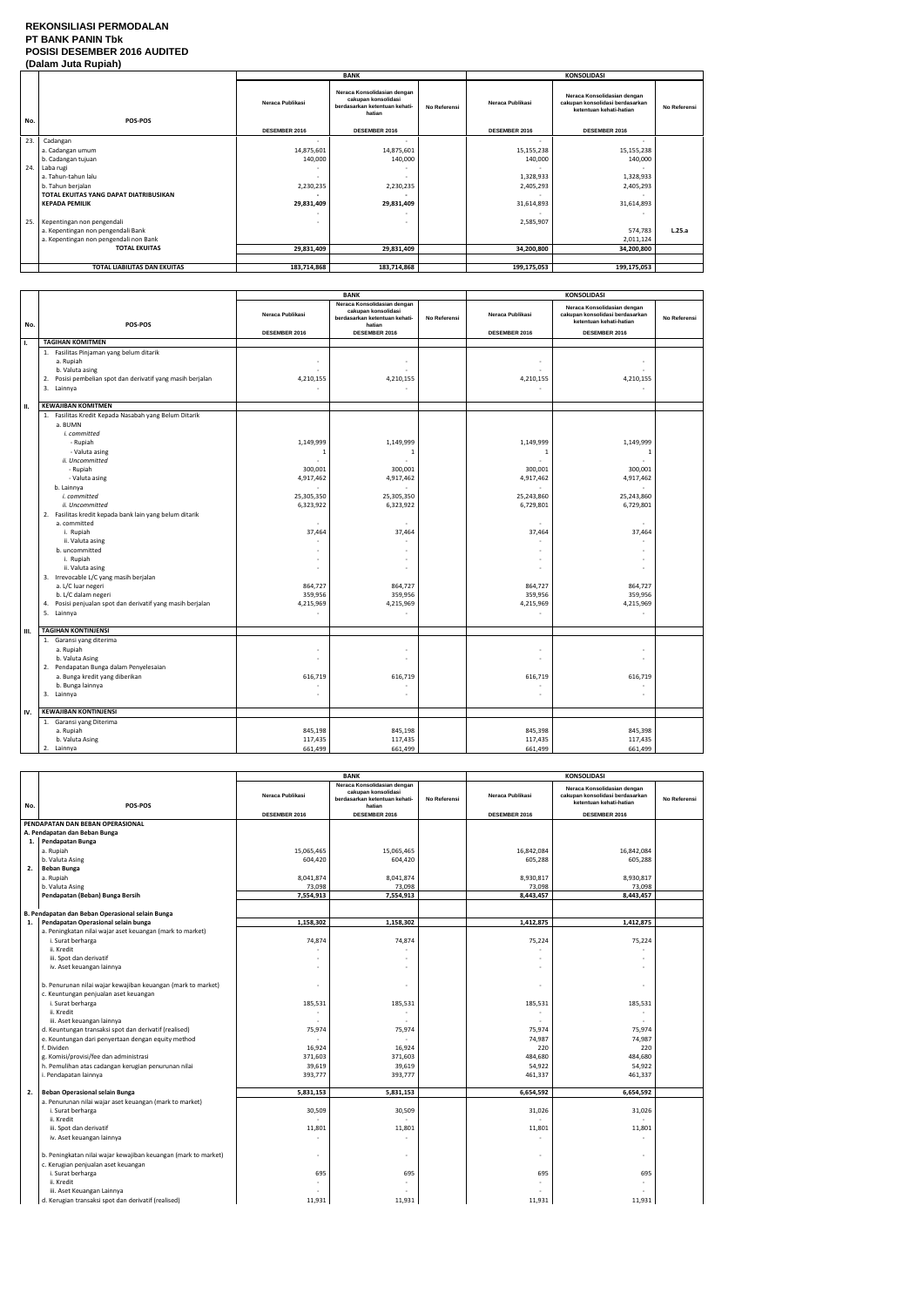#### **REKONSILIASI PERMODALAN PT BANK PANIN Tbk POSISI DESEMBER 2016 AUDITED (Dalam Juta Rupiah)**

|      | $\mathbf{v}$                           |                  |                                                                                               |              |                  |                                                                                           |              |  |
|------|----------------------------------------|------------------|-----------------------------------------------------------------------------------------------|--------------|------------------|-------------------------------------------------------------------------------------------|--------------|--|
|      |                                        |                  | <b>BANK</b>                                                                                   |              |                  | <b>KONSOLIDASI</b>                                                                        |              |  |
| No.  | POS-POS                                | Neraca Publikasi | Neraca Konsolidasian dengan<br>cakupan konsolidasi<br>berdasarkan ketentuan kehati-<br>hatian | No Referensi | Neraca Publikasi | Neraca Konsolidasian dengan<br>cakupan konsolidasi berdasarkan<br>ketentuan kehati-hatian | No Referensi |  |
|      |                                        | DESEMBER 2016    | DESEMBER 2016                                                                                 |              | DESEMBER 2016    | DESEMBER 2016                                                                             |              |  |
| 23.  | Cadangan                               |                  |                                                                                               |              |                  |                                                                                           |              |  |
|      | a. Cadangan umum                       | 14,875,601       | 14,875,601                                                                                    |              | 15,155,238       | 15,155,238                                                                                |              |  |
|      | b. Cadangan tujuan                     | 140,000          | 140,000                                                                                       |              | 140,000          | 140,000                                                                                   |              |  |
| 24.  | Laba rugi                              |                  |                                                                                               |              |                  |                                                                                           |              |  |
|      | a. Tahun-tahun lalu                    |                  |                                                                                               |              | 1,328,933        | 1,328,933                                                                                 |              |  |
|      | b. Tahun berjalan                      | 2,230,235        | 2,230,235                                                                                     |              | 2,405,293        | 2,405,293                                                                                 |              |  |
|      | TOTAL EKUITAS YANG DAPAT DIATRIBUSIKAN |                  |                                                                                               |              |                  |                                                                                           |              |  |
|      | <b>KEPADA PEMILIK</b>                  | 29,831,409       | 29,831,409                                                                                    |              | 31,614,893       | 31,614,893                                                                                |              |  |
|      |                                        |                  |                                                                                               |              |                  |                                                                                           |              |  |
| 25.1 | Kepentingan non pengendali             |                  | $\overline{\phantom{a}}$                                                                      |              | 2,585,907        |                                                                                           |              |  |
|      | a. Kepentingan non pengendali Bank     |                  |                                                                                               |              |                  | 574,783                                                                                   | L.25.a       |  |
|      | a. Kepentingan non pengendali non Bank |                  |                                                                                               |              |                  | 2,011,124                                                                                 |              |  |
|      | <b>TOTAL EKUITAS</b>                   | 29,831,409       | 29,831,409                                                                                    |              | 34,200,800       | 34,200,800                                                                                |              |  |
|      |                                        |                  |                                                                                               |              |                  |                                                                                           |              |  |
|      | TOTAL LIABILITAS DAN EKUITAS           | 183,714,868      | 183,714,868                                                                                   |              | 199,175,053      | 199,175,053                                                                               |              |  |

|     |                                                                                                                                                                                                                                                                                                                                                                                                                                                                                                                                                       |                                                                                                                      | <b>BANK</b>                                                                                                               |              | <b>KONSOLIDASI</b>                                                                                                        |                                                                                                                                                         |              |
|-----|-------------------------------------------------------------------------------------------------------------------------------------------------------------------------------------------------------------------------------------------------------------------------------------------------------------------------------------------------------------------------------------------------------------------------------------------------------------------------------------------------------------------------------------------------------|----------------------------------------------------------------------------------------------------------------------|---------------------------------------------------------------------------------------------------------------------------|--------------|---------------------------------------------------------------------------------------------------------------------------|---------------------------------------------------------------------------------------------------------------------------------------------------------|--------------|
| No. | POS-POS                                                                                                                                                                                                                                                                                                                                                                                                                                                                                                                                               | Neraca Publikasi                                                                                                     | Neraca Konsolidasian dengan<br>cakupan konsolidasi<br>berdasarkan ketentuan kehati-<br>hatian                             | No Referensi | Neraca Publikasi                                                                                                          | Neraca Konsolidasian dengan<br>cakupan konsolidasi berdasarkan<br>ketentuan kehati-hatian                                                               | No Referensi |
|     |                                                                                                                                                                                                                                                                                                                                                                                                                                                                                                                                                       | DESEMBER 2016                                                                                                        | DESEMBER 2016                                                                                                             |              | DESEMBER 2016                                                                                                             | DESEMBER 2016                                                                                                                                           |              |
| ı.  | <b>TAGIHAN KOMITMEN</b>                                                                                                                                                                                                                                                                                                                                                                                                                                                                                                                               |                                                                                                                      |                                                                                                                           |              |                                                                                                                           |                                                                                                                                                         |              |
|     | 1. Fasilitas Pinjaman yang belum ditarik<br>a. Rupiah<br>b. Valuta asing<br>Posisi pembelian spot dan derivatif yang masih berjalan<br>2.<br>3. Lainnya                                                                                                                                                                                                                                                                                                                                                                                               | 4,210,155                                                                                                            | 4,210,155                                                                                                                 |              | 4,210,155                                                                                                                 | $\overline{\phantom{a}}$<br>4,210,155<br>÷.                                                                                                             |              |
| н.  | <b>KEWAJIBAN KOMITMEN</b>                                                                                                                                                                                                                                                                                                                                                                                                                                                                                                                             |                                                                                                                      |                                                                                                                           |              |                                                                                                                           |                                                                                                                                                         |              |
|     | 1. Fasilitas Kredit Kepada Nasabah yang Belum Ditarik<br>a. BUMN<br>i. committed<br>- Rupiah<br>- Valuta asing<br>ii. Uncommitted<br>- Rupiah<br>- Valuta asing<br>b. Lainnya<br>i. committed<br>ii. Uncommitted<br>2. Fasilitas kredit kepada bank lain yang belum ditarik<br>a. committed<br>i. Rupiah<br>ii. Valuta asing<br>b. uncommitted<br>i. Rupiah<br>ii. Valuta asing<br>3. Irrevocable L/C yang masih berjalan<br>a. L/C luar negeri<br>b. L/C dalam negeri<br>Posisi penjualan spot dan derivatif yang masih berjalan<br>4.<br>5. Lainnya | 1,149,999<br>-1<br>300,001<br>4,917,462<br>25,305,350<br>6,323,922<br>37,464<br>٠<br>864,727<br>359,956<br>4,215,969 | 1,149,999<br>-1<br>300,001<br>4,917,462<br>25,305,350<br>6,323,922<br>37,464<br>864,727<br>359,956<br>4,215,969<br>$\sim$ |              | 1,149,999<br>$\mathbf{1}$<br>300,001<br>4,917,462<br>25,243,860<br>6,729,801<br>37,464<br>864,727<br>359,956<br>4,215,969 | 1,149,999<br>-1<br>300,001<br>4,917,462<br>25,243,860<br>6,729,801<br>37,464<br>÷,<br>$\overline{\phantom{a}}$<br>864,727<br>359,956<br>4,215,969<br>÷, |              |
|     |                                                                                                                                                                                                                                                                                                                                                                                                                                                                                                                                                       |                                                                                                                      |                                                                                                                           |              |                                                                                                                           |                                                                                                                                                         |              |
| Ш.  | <b>TAGIHAN KONTINJENSI</b>                                                                                                                                                                                                                                                                                                                                                                                                                                                                                                                            |                                                                                                                      |                                                                                                                           |              |                                                                                                                           |                                                                                                                                                         |              |
|     | 1. Garansi yang diterima<br>a. Rupiah<br>b. Valuta Asing<br>2. Pendapatan Bunga dalam Penyelesaian<br>a. Bunga kredit yang diberikan<br>b. Bunga lainnya<br>3. Lainnya                                                                                                                                                                                                                                                                                                                                                                                | ٠<br>$\sim$<br>616,719<br>ä,                                                                                         | $\sim$<br>$\overline{a}$<br>616,719                                                                                       |              | 616,719                                                                                                                   | $\bar{a}$<br>ä,<br>616,719<br>٠<br>÷,                                                                                                                   |              |
| IV. | <b>KEWAJIBAN KONTINJENSI</b>                                                                                                                                                                                                                                                                                                                                                                                                                                                                                                                          |                                                                                                                      |                                                                                                                           |              |                                                                                                                           |                                                                                                                                                         |              |
|     | 1. Garansi yang Diterima<br>a. Rupiah<br>b. Valuta Asing<br>2. Lainnya                                                                                                                                                                                                                                                                                                                                                                                                                                                                                | 845,198<br>117,435<br>661,499                                                                                        | 845,198<br>117,435<br>661,499                                                                                             |              | 845,398<br>117,435<br>661,499                                                                                             | 845,398<br>117,435<br>661,499                                                                                                                           |              |

|     |                                                                | <b>BANK</b>                       |                                                                                                                |              | <b>KONSOLIDASI</b>                       |                                                                                                            |              |
|-----|----------------------------------------------------------------|-----------------------------------|----------------------------------------------------------------------------------------------------------------|--------------|------------------------------------------|------------------------------------------------------------------------------------------------------------|--------------|
| No. | POS-POS                                                        | Neraca Publikasi<br>DESEMBER 2016 | Neraca Konsolidasian dengan<br>cakupan konsolidasi<br>berdasarkan ketentuan kehati-<br>hatian<br>DESEMBER 2016 | No Referensi | <b>Neraca Publikasi</b><br>DESEMBER 2016 | Neraca Konsolidasian dengan<br>cakupan konsolidasi berdasarkan<br>ketentuan kehati-hatian<br>DESEMBER 2016 | No Referensi |
|     |                                                                |                                   |                                                                                                                |              |                                          |                                                                                                            |              |
|     | PENDAPATAN DAN BEBAN OPERASIONAL                               |                                   |                                                                                                                |              |                                          |                                                                                                            |              |
|     | A. Pendapatan dan Beban Bunga                                  |                                   |                                                                                                                |              |                                          |                                                                                                            |              |
|     | 1. Pendapatan Bunga                                            |                                   |                                                                                                                |              |                                          |                                                                                                            |              |
|     | a. Rupiah                                                      | 15,065,465                        | 15,065,465                                                                                                     |              | 16,842,084                               | 16,842,084                                                                                                 |              |
|     | b. Valuta Asing                                                | 604,420                           | 604,420                                                                                                        |              | 605,288                                  | 605,288                                                                                                    |              |
| 2.  | <b>Beban Bunga</b>                                             |                                   |                                                                                                                |              |                                          |                                                                                                            |              |
|     | a. Rupiah                                                      | 8,041,874                         | 8,041,874                                                                                                      |              | 8,930,817                                | 8,930,817                                                                                                  |              |
|     | b. Valuta Asing                                                | 73,098                            | 73,098                                                                                                         |              | 73,098                                   | 73,098                                                                                                     |              |
|     | Pendapatan (Beban) Bunga Bersih                                | 7,554,913                         | 7,554,913                                                                                                      |              | 8,443,457                                | 8,443,457                                                                                                  |              |
|     |                                                                |                                   |                                                                                                                |              |                                          |                                                                                                            |              |
|     | B. Pendapatan dan Beban Operasional selain Bunga               |                                   |                                                                                                                |              |                                          |                                                                                                            |              |
| 1.  | Pendapatan Operasional selain bunga                            | 1,158,302                         | 1,158,302                                                                                                      |              | 1,412,875                                | 1,412,875                                                                                                  |              |
|     | a. Peningkatan nilai wajar aset keuangan (mark to market)      |                                   |                                                                                                                |              |                                          |                                                                                                            |              |
|     | i. Surat berharga                                              | 74,874                            | 74,874                                                                                                         |              | 75,224                                   | 75,224                                                                                                     |              |
|     | ii. Kredit                                                     |                                   |                                                                                                                |              |                                          |                                                                                                            |              |
|     | iii. Spot dan derivatif                                        |                                   | $\overline{\phantom{a}}$                                                                                       |              |                                          | ÷,                                                                                                         |              |
|     | iv. Aset keuangan lainnya                                      |                                   |                                                                                                                |              |                                          |                                                                                                            |              |
|     |                                                                |                                   |                                                                                                                |              |                                          |                                                                                                            |              |
|     | b. Penurunan nilai wajar kewajiban keuangan (mark to market)   |                                   |                                                                                                                |              |                                          | ÷,                                                                                                         |              |
|     | c. Keuntungan penjualan aset keuangan                          |                                   |                                                                                                                |              |                                          |                                                                                                            |              |
|     | i. Surat berharga                                              | 185,531                           | 185,531                                                                                                        |              | 185,531                                  | 185,531                                                                                                    |              |
|     | ii. Kredit                                                     |                                   |                                                                                                                |              |                                          | ÷.                                                                                                         |              |
|     | iii. Aset keuangan lainnya                                     |                                   |                                                                                                                |              |                                          |                                                                                                            |              |
|     | d. Keuntungan transaksi spot dan derivatif (realised)          | 75,974                            | 75,974                                                                                                         |              | 75,974                                   | 75,974                                                                                                     |              |
|     | e. Keuntungan dari penyertaan dengan equity method             |                                   |                                                                                                                |              | 74,987                                   | 74,987                                                                                                     |              |
|     | f. Dividen                                                     | 16,924                            | 16,924                                                                                                         |              | 220                                      | 220                                                                                                        |              |
|     | g. Komisi/provisi/fee dan administrasi                         | 371,603                           | 371,603                                                                                                        |              | 484,680                                  | 484,680                                                                                                    |              |
|     | h. Pemulihan atas cadangan kerugian penurunan nilai            | 39,619                            | 39,619                                                                                                         |              | 54,922                                   | 54,922                                                                                                     |              |
|     | i. Pendapatan lainnya                                          | 393,777                           | 393,777                                                                                                        |              | 461,337                                  | 461,337                                                                                                    |              |
|     |                                                                |                                   |                                                                                                                |              |                                          |                                                                                                            |              |
| 2.  | Beban Operasional selain Bunga                                 | 5,831,153                         | 5,831,153                                                                                                      |              | 6,654,592                                | 6,654,592                                                                                                  |              |
|     | a. Penurunan nilai wajar aset keuangan (mark to market)        |                                   |                                                                                                                |              |                                          |                                                                                                            |              |
|     | i. Surat berharga                                              | 30,509                            | 30,509                                                                                                         |              | 31,026                                   | 31,026                                                                                                     |              |
|     | ii. Kredit                                                     |                                   |                                                                                                                |              |                                          |                                                                                                            |              |
|     |                                                                |                                   |                                                                                                                |              |                                          |                                                                                                            |              |
|     | iii. Spot dan derivatif                                        | 11,801                            | 11,801                                                                                                         |              | 11,801                                   | 11,801<br>ä,                                                                                               |              |
|     | iv. Aset keuangan lainnya                                      |                                   | $\sim$                                                                                                         |              |                                          |                                                                                                            |              |
|     | b. Peningkatan nilai wajar kewajiban keuangan (mark to market) | $\overline{\phantom{a}}$          | $\sim$                                                                                                         |              |                                          | $\overline{a}$                                                                                             |              |
|     | c. Kerugian penjualan aset keuangan                            |                                   |                                                                                                                |              |                                          |                                                                                                            |              |
|     | i. Surat berharga                                              | 695                               | 695                                                                                                            |              | 695                                      | 695                                                                                                        |              |
|     | ii. Kredit                                                     |                                   |                                                                                                                |              |                                          |                                                                                                            |              |
|     | iii. Aset Keuangan Lainnya                                     |                                   |                                                                                                                |              |                                          |                                                                                                            |              |
|     | d. Kerugian transaksi spot dan derivatif (realised)            | 11,931                            | 11,931                                                                                                         |              | 11,931                                   | 11,931                                                                                                     |              |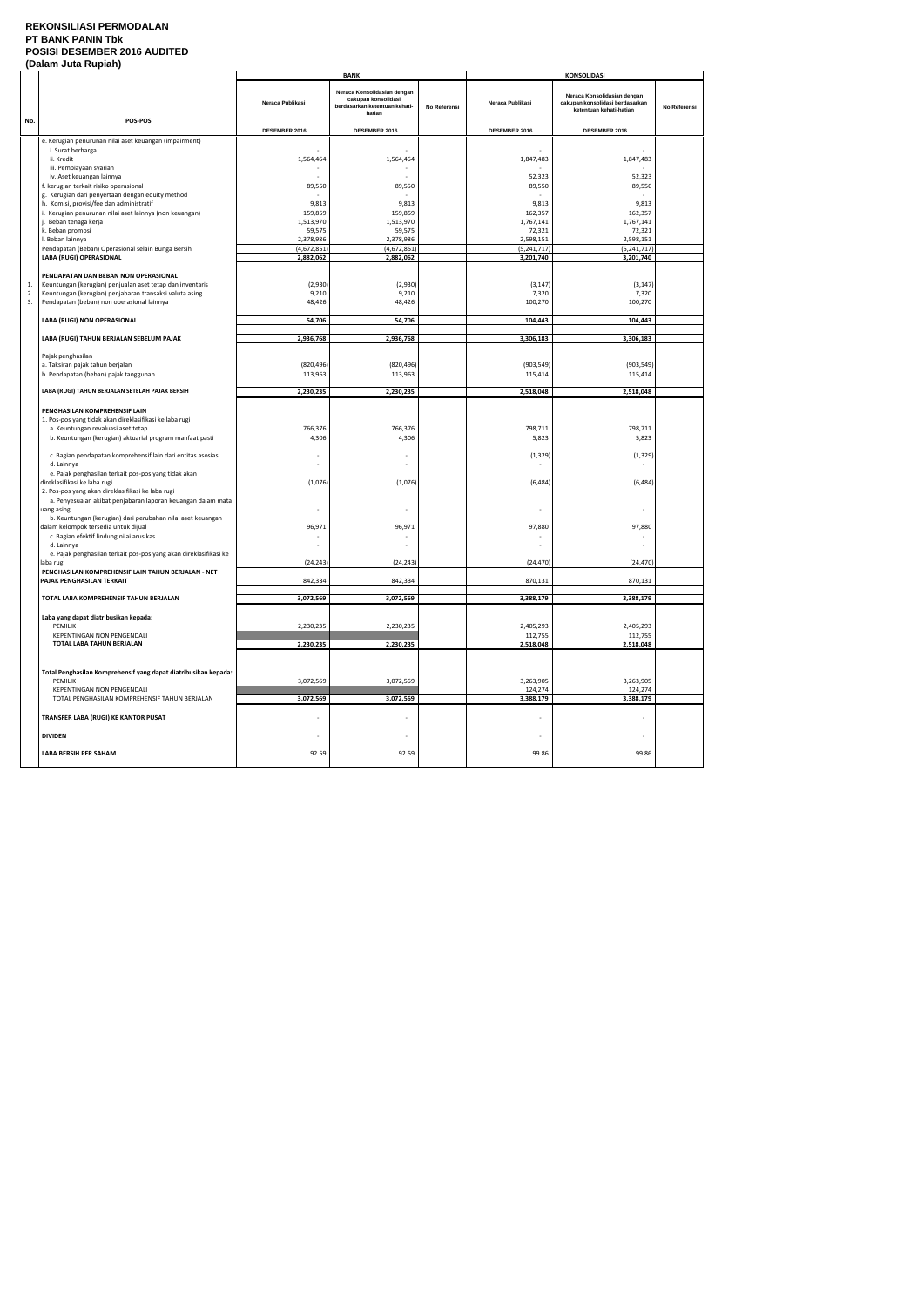#### **REKONSILIASI PERMODALAN PT BANK PANIN Tbk POSISI DESEMBER 2016 AUDITED (Dalam Juta Rupiah)**

|     | l Dalam vula Muplan                                                              |                      | <b>BANK</b>                                                                                   |              | <b>KONSOLIDASI</b>       |                                                                                           |              |
|-----|----------------------------------------------------------------------------------|----------------------|-----------------------------------------------------------------------------------------------|--------------|--------------------------|-------------------------------------------------------------------------------------------|--------------|
|     |                                                                                  | Neraca Publikasi     | Neraca Konsolidasian dengan<br>cakupan konsolidasi<br>berdasarkan ketentuan kehati-<br>hatian | No Referensi | Neraca Publikasi         | Neraca Konsolidasian dengan<br>cakupan konsolidasi berdasarkan<br>ketentuan kehati-hatian | No Referensi |
| No. | POS-POS                                                                          | DESEMBER 2016        | DESEMBER 2016                                                                                 |              | DESEMBER 2016            | DESEMBER 2016                                                                             |              |
|     | e. Kerugian penurunan nilai aset keuangan (impairment)                           |                      |                                                                                               |              |                          |                                                                                           |              |
|     | i. Surat berharga                                                                |                      |                                                                                               |              |                          | $\sim$                                                                                    |              |
|     | ii. Kredit                                                                       | 1,564,464            | 1,564,464                                                                                     |              | 1,847,483                | 1,847,483                                                                                 |              |
|     | iii. Pembiayaan syariah                                                          |                      |                                                                                               |              |                          |                                                                                           |              |
|     | iv. Aset keuangan lainnya                                                        |                      |                                                                                               |              | 52,323                   | 52,323                                                                                    |              |
|     | f. kerugian terkait risiko operasional                                           | 89,550               | 89,550                                                                                        |              | 89,550                   | 89,550                                                                                    |              |
|     | g. Kerugian dari penyertaan dengan equity method                                 |                      |                                                                                               |              |                          |                                                                                           |              |
|     | h. Komisi, provisi/fee dan administratif                                         | 9,813                | 9,813                                                                                         |              | 9,813                    | 9,813                                                                                     |              |
|     | i. Kerugian penurunan nilai aset lainnya (non keuangan)<br>j. Beban tenaga kerja | 159,859<br>1,513,970 | 159,859<br>1,513,970                                                                          |              | 162,357<br>1,767,141     | 162,357<br>1,767,141                                                                      |              |
|     | k. Beban promosi                                                                 | 59,575               | 59,575                                                                                        |              | 72,321                   | 72,321                                                                                    |              |
|     | I. Beban lainnya                                                                 | 2,378,986            | 2,378,986                                                                                     |              | 2,598,151                | 2,598,151                                                                                 |              |
|     | Pendapatan (Beban) Operasional selain Bunga Bersih                               | (4,672,851)          | (4,672,851)                                                                                   |              | (5, 241, 717)            | (5, 241, 717)                                                                             |              |
|     | LABA (RUGI) OPERASIONAL                                                          | 2,882,062            | 2,882,062                                                                                     |              | 3,201,740                | 3,201,740                                                                                 |              |
|     |                                                                                  |                      |                                                                                               |              |                          |                                                                                           |              |
|     | PENDAPATAN DAN BEBAN NON OPERASIONAL                                             |                      |                                                                                               |              |                          |                                                                                           |              |
| 1.  | Keuntungan (kerugian) penjualan aset tetap dan inventaris                        | (2,930)              | (2,930)                                                                                       |              | (3, 147)                 | (3, 147)                                                                                  |              |
| 2.  | Keuntungan (kerugian) penjabaran transaksi valuta asing                          | 9,210                | 9,210                                                                                         |              | 7,320                    | 7,320                                                                                     |              |
| 3.  | Pendapatan (beban) non operasional lainnya                                       | 48,426               | 48,426                                                                                        |              | 100,270                  | 100,270                                                                                   |              |
|     | LABA (RUGI) NON OPERASIONAL                                                      | 54,706               | 54,706                                                                                        |              | 104,443                  | 104,443                                                                                   |              |
|     |                                                                                  |                      |                                                                                               |              |                          |                                                                                           |              |
|     | LABA (RUGI) TAHUN BERJALAN SEBELUM PAJAK                                         | 2,936,768            | 2,936,768                                                                                     |              | 3,306,183                | 3,306,183                                                                                 |              |
|     |                                                                                  |                      |                                                                                               |              |                          |                                                                                           |              |
|     | Pajak penghasilan                                                                |                      |                                                                                               |              |                          |                                                                                           |              |
|     | a. Taksiran pajak tahun berjalan                                                 | (820, 496)           | (820, 496)                                                                                    |              | (903, 549)               | (903, 549)                                                                                |              |
|     | b. Pendapatan (beban) pajak tangguhan                                            | 113,963              | 113,963                                                                                       |              | 115,414                  | 115,414                                                                                   |              |
|     |                                                                                  |                      |                                                                                               |              |                          |                                                                                           |              |
|     | LABA (RUGI) TAHUN BERJALAN SETELAH PAJAK BERSIH                                  | 2,230,235            | 2,230,235                                                                                     |              | 2,518,048                | 2,518,048                                                                                 |              |
|     |                                                                                  |                      |                                                                                               |              |                          |                                                                                           |              |
|     | PENGHASILAN KOMPREHENSIF LAIN                                                    |                      |                                                                                               |              |                          |                                                                                           |              |
|     | 1. Pos-pos yang tidak akan direklasifikasi ke laba rugi                          |                      |                                                                                               |              |                          |                                                                                           |              |
|     | a. Keuntungan revaluasi aset tetap                                               | 766,376              | 766,376                                                                                       |              | 798,711                  | 798,711                                                                                   |              |
|     | b. Keuntungan (kerugian) aktuarial program manfaat pasti                         | 4,306                | 4,306                                                                                         |              | 5,823                    | 5,823                                                                                     |              |
|     | c. Bagian pendapatan komprehensif lain dari entitas asosiasi                     |                      |                                                                                               |              | (1, 329)                 | (1, 329)                                                                                  |              |
|     | d. Lainnya                                                                       |                      |                                                                                               |              |                          |                                                                                           |              |
|     | e. Pajak penghasilan terkait pos-pos yang tidak akan                             |                      |                                                                                               |              |                          |                                                                                           |              |
|     | direklasifikasi ke laba rugi                                                     | (1,076)              | (1,076)                                                                                       |              | (6, 484)                 | (6, 484)                                                                                  |              |
|     | 2. Pos-pos yang akan direklasifikasi ke laba rugi                                |                      |                                                                                               |              |                          |                                                                                           |              |
|     | a. Penyesuaian akibat penjabaran laporan keuangan dalam mata                     |                      |                                                                                               |              |                          |                                                                                           |              |
|     | uang asing                                                                       |                      | $\overline{\phantom{a}}$                                                                      |              | $\overline{\phantom{a}}$ | $\sim$                                                                                    |              |
|     | b. Keuntungan (kerugian) dari perubahan nilai aset keuangan                      |                      |                                                                                               |              |                          |                                                                                           |              |
|     | dalam kelompok tersedia untuk dijual                                             | 96,971               | 96,971                                                                                        |              | 97,880                   | 97,880                                                                                    |              |
|     | c. Bagian efektif lindung nilai arus kas                                         |                      |                                                                                               |              |                          |                                                                                           |              |
|     | d. Lainnya                                                                       |                      |                                                                                               |              |                          |                                                                                           |              |
|     | e. Pajak penghasilan terkait pos-pos yang akan direklasifikasi ke                |                      |                                                                                               |              | (24, 470)                |                                                                                           |              |
|     | laba rugi<br>PENGHASILAN KOMPREHENSIF LAIN TAHUN BERJALAN - NET                  | (24, 243)            | (24, 243)                                                                                     |              |                          | (24, 470)                                                                                 |              |
|     | PAJAK PENGHASILAN TERKAIT                                                        | 842,334              | 842,334                                                                                       |              | 870,131                  | 870,131                                                                                   |              |
|     |                                                                                  |                      |                                                                                               |              |                          |                                                                                           |              |
|     | TOTAL LABA KOMPREHENSIF TAHUN BERJALAN                                           | 3,072,569            | 3,072,569                                                                                     |              | 3,388,179                | 3,388,179                                                                                 |              |
|     |                                                                                  |                      |                                                                                               |              |                          |                                                                                           |              |
|     | Laba yang dapat diatribusikan kepada:                                            |                      |                                                                                               |              |                          |                                                                                           |              |
|     | PEMILIK                                                                          | 2,230,235            | 2,230,235                                                                                     |              | 2,405,293                | 2,405,293                                                                                 |              |
|     | KEPENTINGAN NON PENGENDALI                                                       |                      |                                                                                               |              | 112,755                  | 112,755                                                                                   |              |
|     | TOTAL LABA TAHUN BERJALAN                                                        | 2,230,235            | 2,230,235                                                                                     |              | 2,518,048                | 2,518,048                                                                                 |              |
|     |                                                                                  |                      |                                                                                               |              |                          |                                                                                           |              |
|     |                                                                                  |                      |                                                                                               |              |                          |                                                                                           |              |
|     | Total Penghasilan Komprehensif yang dapat diatribusikan kepada:<br>PEMILIK       | 3,072,569            | 3,072,569                                                                                     |              | 3,263,905                | 3,263,905                                                                                 |              |
|     | KEPENTINGAN NON PENGENDALI                                                       |                      |                                                                                               |              | 124,274                  | 124,274                                                                                   |              |
|     | TOTAL PENGHASILAN KOMPREHENSIF TAHUN BERJALAN                                    | 3,072,569            | 3,072,569                                                                                     |              | 3,388,179                | 3,388,179                                                                                 |              |
|     |                                                                                  |                      |                                                                                               |              |                          |                                                                                           |              |
|     | TRANSFER LABA (RUGI) KE KANTOR PUSAT                                             |                      |                                                                                               |              |                          |                                                                                           |              |
|     |                                                                                  |                      |                                                                                               |              |                          |                                                                                           |              |
|     | <b>DIVIDEN</b>                                                                   |                      | $\overline{\phantom{a}}$                                                                      |              | $\overline{\phantom{a}}$ | $\sim$                                                                                    |              |
|     |                                                                                  |                      |                                                                                               |              |                          |                                                                                           |              |
|     | <b>LABA BERSIH PER SAHAM</b>                                                     | 92.59                | 92.59                                                                                         |              | 99.86                    | 99.86                                                                                     |              |
|     |                                                                                  |                      |                                                                                               |              |                          |                                                                                           |              |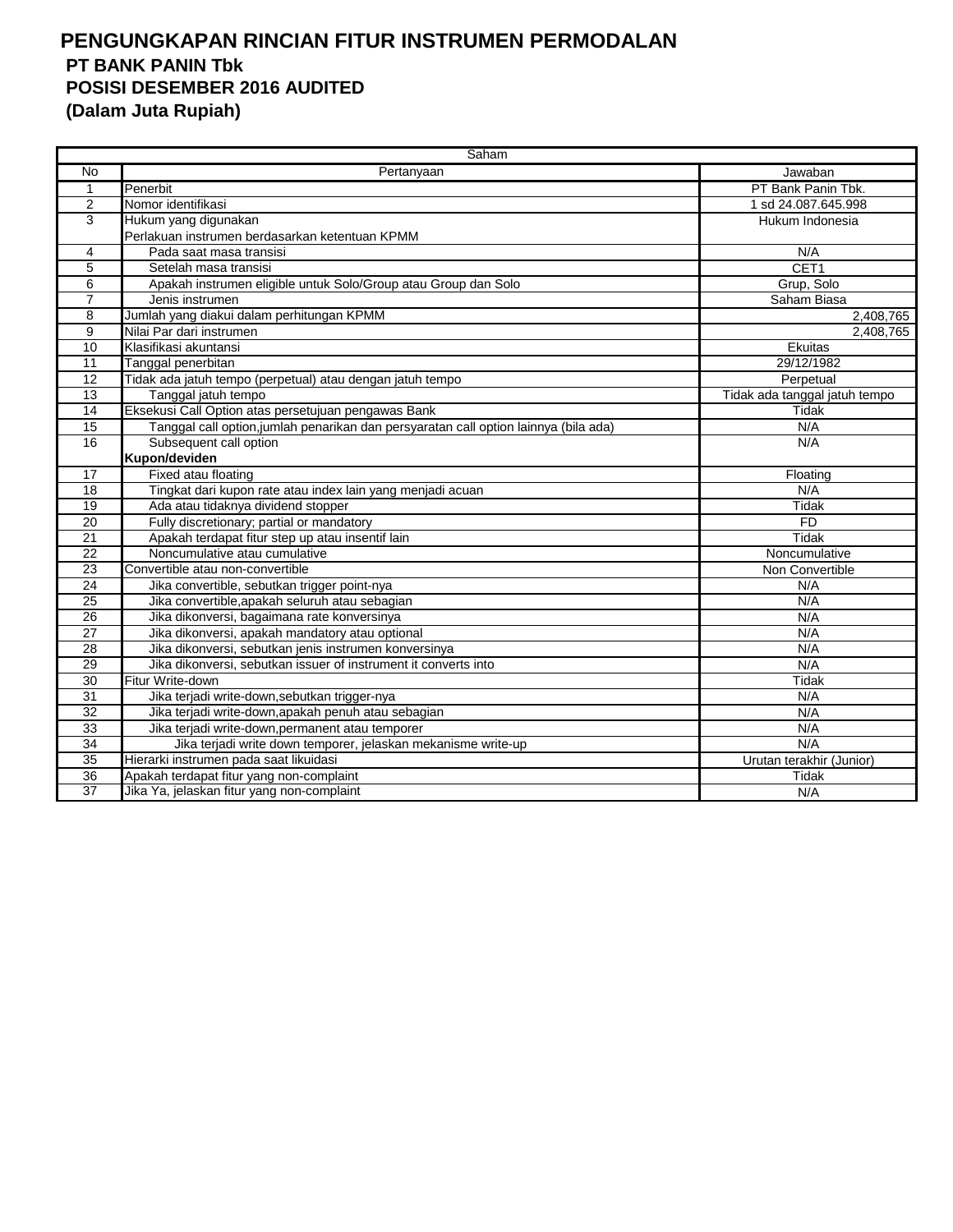|                 | Saham                                                                                |                               |
|-----------------|--------------------------------------------------------------------------------------|-------------------------------|
| <b>No</b>       | Pertanyaan                                                                           | Jawaban                       |
| 1               | Penerbit                                                                             | PT Bank Panin Tbk.            |
| 2               | Nomor identifikasi                                                                   | 1 sd 24.087.645.998           |
| 3               | Hukum yang digunakan                                                                 | Hukum Indonesia               |
|                 | Perlakuan instrumen berdasarkan ketentuan KPMM                                       |                               |
| 4               | Pada saat masa transisi                                                              | N/A                           |
| 5               | Setelah masa transisi                                                                | CET <sub>1</sub>              |
| 6               | Apakah instrumen eligible untuk Solo/Group atau Group dan Solo                       | Grup, Solo                    |
| $\overline{7}$  | Jenis instrumen                                                                      | Saham Biasa                   |
| 8               | Jumlah yang diakui dalam perhitungan KPMM                                            | 2,408,765                     |
| $\overline{9}$  | Nilai Par dari instrumen                                                             | 2,408,765                     |
| $\overline{10}$ | Klasifikasi akuntansi                                                                | Ekuitas                       |
| 11              | Tanggal penerbitan                                                                   | 29/12/1982                    |
| 12              | Tidak ada jatuh tempo (perpetual) atau dengan jatuh tempo                            | Perpetual                     |
| 13              | Tanggal jatuh tempo                                                                  | Tidak ada tanggal jatuh tempo |
| 14              | Eksekusi Call Option atas persetujuan pengawas Bank                                  | Tidak                         |
| $\overline{15}$ | Tanggal call option, jumlah penarikan dan persyaratan call option lainnya (bila ada) | N/A                           |
| 16              | Subsequent call option                                                               | N/A                           |
|                 | Kupon/deviden                                                                        |                               |
| 17              | Fixed atau floating                                                                  | Floating                      |
| $\overline{18}$ | Tingkat dari kupon rate atau index lain yang menjadi acuan                           | N/A                           |
| 19              | Ada atau tidaknya dividend stopper                                                   | Tidak                         |
| 20              | Fully discretionary; partial or mandatory                                            | <b>FD</b>                     |
| 21              | Apakah terdapat fitur step up atau insentif lain                                     | Tidak                         |
| 22              | Noncumulative atau cumulative                                                        | Noncumulative                 |
| $\overline{23}$ | Convertible atau non-convertible                                                     | Non Convertible               |
| 24              | Jika convertible, sebutkan trigger point-nya                                         | N/A                           |
| 25              | Jika convertible, apakah seluruh atau sebagian                                       | N/A                           |
| 26              | Jika dikonversi, bagaimana rate konversinya                                          | N/A                           |
| 27              | Jika dikonversi, apakah mandatory atau optional                                      | N/A                           |
| $\overline{28}$ | Jika dikonversi, sebutkan jenis instrumen konversinya                                | N/A                           |
| 29              | Jika dikonversi, sebutkan issuer of instrument it converts into                      | N/A                           |
| $\overline{30}$ | Fitur Write-down                                                                     | Tidak                         |
| 31              | Jika terjadi write-down, sebutkan trigger-nya                                        | N/A                           |
| $\overline{32}$ | Jika terjadi write-down, apakah penuh atau sebagian                                  | N/A                           |
| $\overline{33}$ | Jika terjadi write-down, permanent atau temporer                                     | N/A                           |
| $\overline{34}$ | Jika terjadi write down temporer, jelaskan mekanisme write-up                        | N/A                           |
| 35              | Hierarki instrumen pada saat likuidasi                                               | Urutan terakhir (Junior)      |
| 36              | Apakah terdapat fitur yang non-complaint                                             | Tidak                         |
| $\overline{37}$ | Jika Ya, jelaskan fitur yang non-complaint                                           | N/A                           |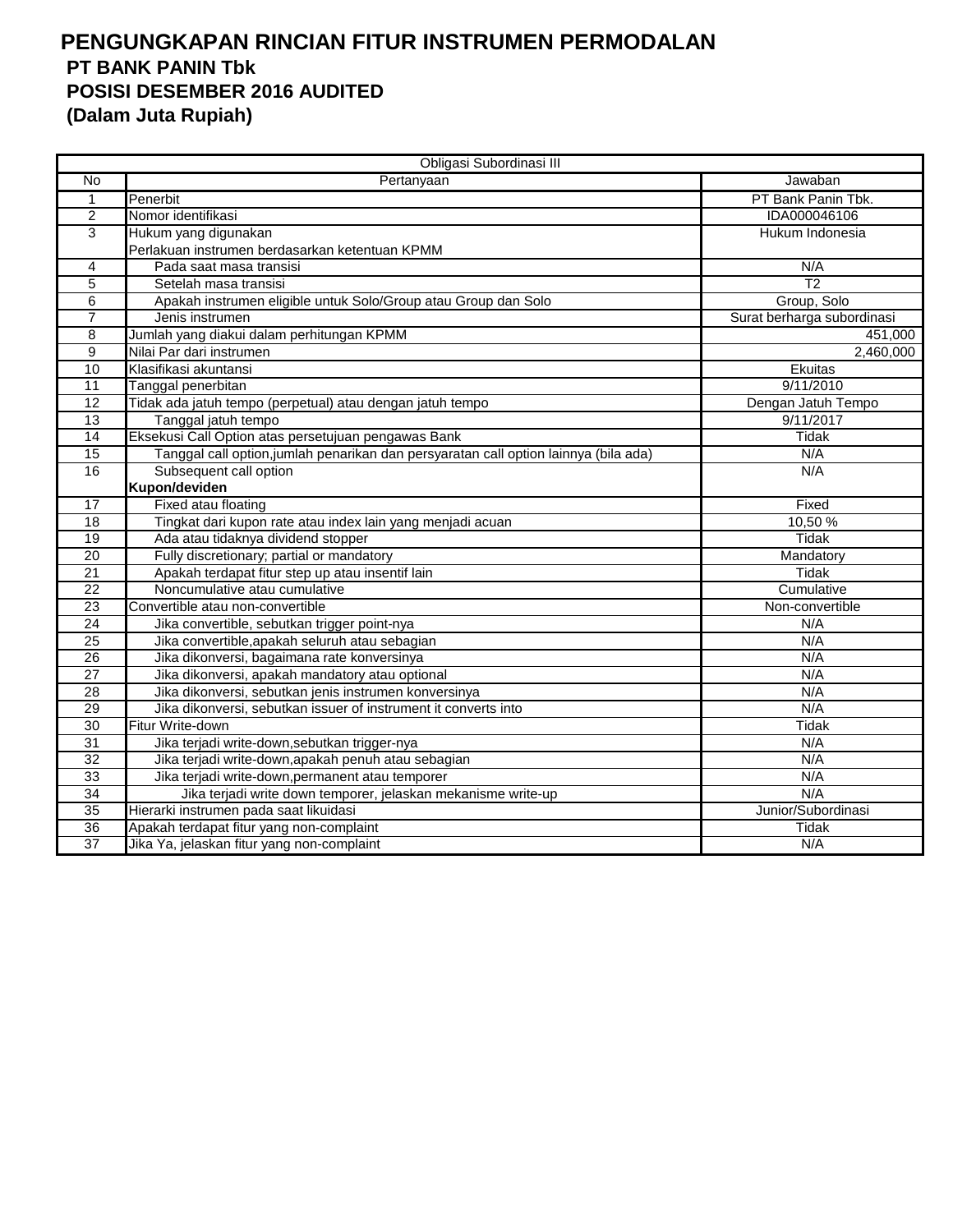|                 | Obligasi Subordinasi III                                                             |                            |
|-----------------|--------------------------------------------------------------------------------------|----------------------------|
| No              | Pertanyaan                                                                           | Jawaban                    |
| $\mathbf{1}$    | Penerbit                                                                             | PT Bank Panin Tbk.         |
| $\overline{2}$  | Nomor identifikasi                                                                   | IDA000046106               |
| $\overline{3}$  | Hukum yang digunakan                                                                 | Hukum Indonesia            |
|                 | Perlakuan instrumen berdasarkan ketentuan KPMM                                       |                            |
| 4               | Pada saat masa transisi                                                              | N/A                        |
| 5               | Setelah masa transisi                                                                | $\overline{12}$            |
| 6               | Apakah instrumen eligible untuk Solo/Group atau Group dan Solo                       | Group, Solo                |
| $\overline{7}$  | Jenis instrumen                                                                      | Surat berharga subordinasi |
| 8               | Jumlah yang diakui dalam perhitungan KPMM                                            | 451,000                    |
| 9               | Nilai Par dari instrumen                                                             | 2,460,000                  |
| 10              | Klasifikasi akuntansi                                                                | Ekuitas                    |
| 11              | Tanggal penerbitan                                                                   | 9/11/2010                  |
| 12              | Tidak ada jatuh tempo (perpetual) atau dengan jatuh tempo                            | Dengan Jatuh Tempo         |
| 13              | Tanggal jatuh tempo                                                                  | 9/11/2017                  |
| $\overline{14}$ | Eksekusi Call Option atas persetujuan pengawas Bank                                  | <b>Tidak</b>               |
| $\overline{15}$ | Tanggal call option, jumlah penarikan dan persyaratan call option lainnya (bila ada) | N/A                        |
| 16              | Subsequent call option                                                               | N/A                        |
|                 | Kupon/deviden                                                                        |                            |
| 17              | Fixed atau floating                                                                  | Fixed                      |
| 18              | Tingkat dari kupon rate atau index lain yang menjadi acuan                           | 10,50 %                    |
| 19              | Ada atau tidaknya dividend stopper                                                   | <b>Tidak</b>               |
| 20              | Fully discretionary; partial or mandatory                                            | Mandatory                  |
| 21              | Apakah terdapat fitur step up atau insentif lain                                     | Tidak                      |
| 22              | Noncumulative atau cumulative                                                        | Cumulative                 |
| 23              | Convertible atau non-convertible                                                     | Non-convertible            |
| 24              | Jika convertible, sebutkan trigger point-nya                                         | N/A                        |
| $\overline{25}$ | Jika convertible, apakah seluruh atau sebagian                                       | N/A                        |
| 26              | Jika dikonversi, bagaimana rate konversinya                                          | N/A                        |
| 27              | Jika dikonversi, apakah mandatory atau optional                                      | N/A                        |
| 28              | Jika dikonversi, sebutkan jenis instrumen konversinya                                | N/A                        |
| 29              | Jika dikonversi, sebutkan issuer of instrument it converts into                      | N/A                        |
| $\overline{30}$ | Fitur Write-down                                                                     | Tidak                      |
| $\overline{31}$ | Jika terjadi write-down, sebutkan trigger-nya                                        | N/A                        |
| 32              | Jika terjadi write-down, apakah penuh atau sebagian                                  | N/A                        |
| 33              | Jika terjadi write-down, permanent atau temporer                                     | N/A                        |
| 34              | Jika terjadi write down temporer, jelaskan mekanisme write-up                        | N/A                        |
| 35              | Hierarki instrumen pada saat likuidasi                                               | Junior/Subordinasi         |
| 36              | Apakah terdapat fitur yang non-complaint                                             | Tidak                      |
| 37              | Jika Ya, jelaskan fitur yang non-complaint                                           | N/A                        |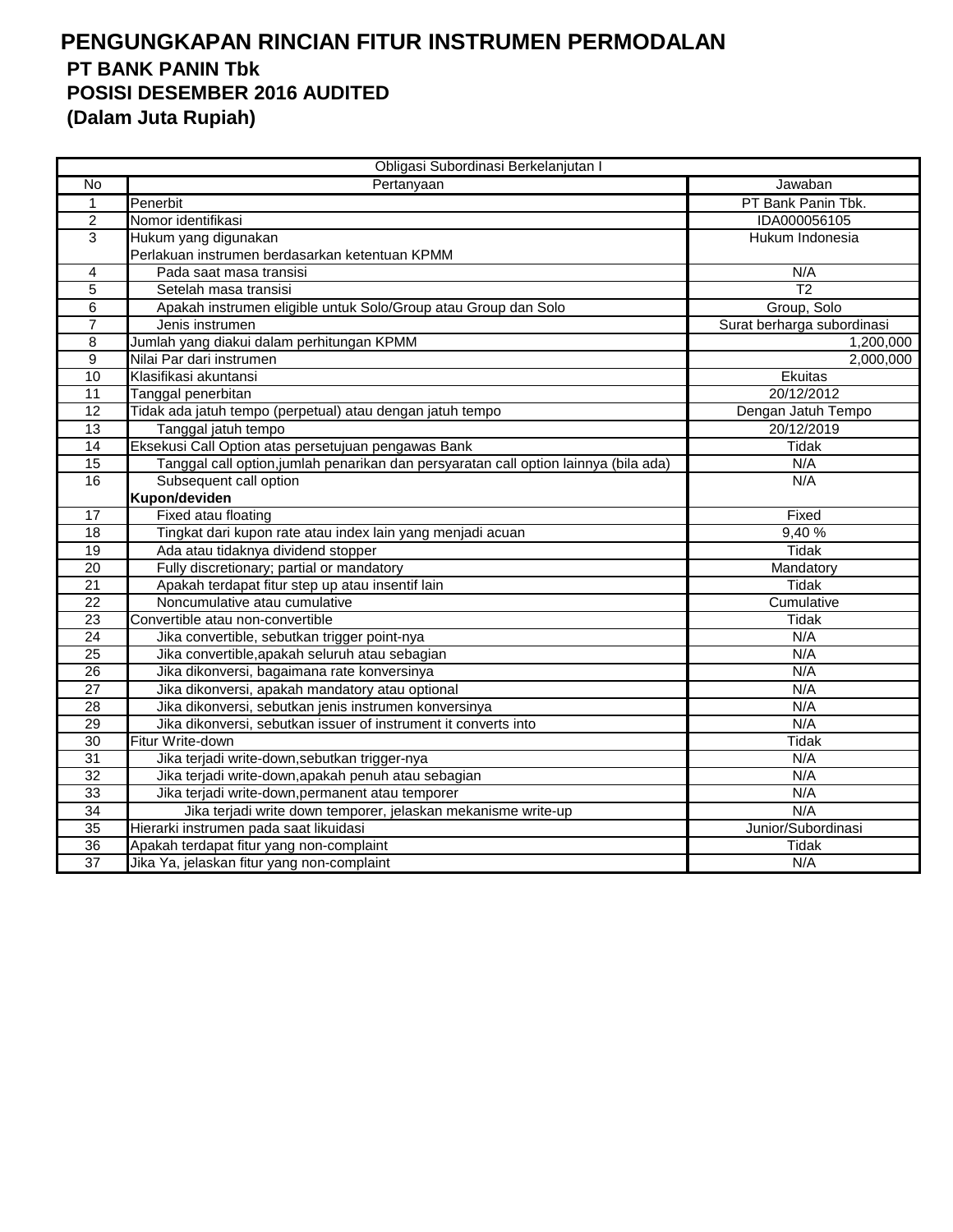|                 | Obligasi Subordinasi Berkelanjutan I                                                 |                            |
|-----------------|--------------------------------------------------------------------------------------|----------------------------|
| No              | Pertanyaan                                                                           | Jawaban                    |
| $\mathbf{1}$    | Penerbit                                                                             | PT Bank Panin Tbk.         |
| $\overline{2}$  | Nomor identifikasi                                                                   | IDA000056105               |
| 3               | Hukum yang digunakan                                                                 | Hukum Indonesia            |
|                 | Perlakuan instrumen berdasarkan ketentuan KPMM                                       |                            |
| 4               | Pada saat masa transisi                                                              | N/A                        |
| 5               | Setelah masa transisi                                                                | $\overline{12}$            |
| $\overline{6}$  | Apakah instrumen eligible untuk Solo/Group atau Group dan Solo                       | Group, Solo                |
| 7               | Jenis instrumen                                                                      | Surat berharga subordinasi |
| 8               | Jumlah yang diakui dalam perhitungan KPMM                                            | 1,200,000                  |
| $\overline{9}$  | Nilai Par dari instrumen                                                             | 2,000,000                  |
| 10              | Klasifikasi akuntansi                                                                | Ekuitas                    |
| 11              | Tanggal penerbitan                                                                   | 20/12/2012                 |
| 12              | Tidak ada jatuh tempo (perpetual) atau dengan jatuh tempo                            | Dengan Jatuh Tempo         |
| 13              | Tanggal jatuh tempo                                                                  | 20/12/2019                 |
| $\overline{14}$ | Eksekusi Call Option atas persetujuan pengawas Bank                                  | <b>Tidak</b>               |
| 15              | Tanggal call option, jumlah penarikan dan persyaratan call option lainnya (bila ada) | N/A                        |
| 16              | Subsequent call option                                                               | N/A                        |
|                 | Kupon/deviden                                                                        |                            |
| 17              | Fixed atau floating                                                                  | Fixed                      |
| 18              | Tingkat dari kupon rate atau index lain yang menjadi acuan                           | 9,40%                      |
| $\overline{19}$ | Ada atau tidaknya dividend stopper                                                   | <b>Tidak</b>               |
| 20              | Fully discretionary; partial or mandatory                                            | Mandatory                  |
| 21              | Apakah terdapat fitur step up atau insentif lain                                     | Tidak                      |
| 22              | Noncumulative atau cumulative                                                        | Cumulative                 |
| $\overline{23}$ | Convertible atau non-convertible                                                     | Tidak                      |
| $\overline{24}$ | Jika convertible, sebutkan trigger point-nya                                         | N/A                        |
| 25              | Jika convertible, apakah seluruh atau sebagian                                       | N/A                        |
| 26              | Jika dikonversi, bagaimana rate konversinya                                          | N/A                        |
| 27              | Jika dikonversi, apakah mandatory atau optional                                      | N/A                        |
| 28              | Jika dikonversi, sebutkan jenis instrumen konversinya                                | N/A                        |
| 29              | Jika dikonversi, sebutkan issuer of instrument it converts into                      | N/A                        |
| $\overline{30}$ | Fitur Write-down                                                                     | <b>Tidak</b>               |
| 31              | Jika terjadi write-down, sebutkan trigger-nya                                        | N/A                        |
| 32              | Jika terjadi write-down, apakah penuh atau sebagian                                  | N/A                        |
| 33              | Jika terjadi write-down, permanent atau temporer                                     | N/A                        |
| 34              | Jika terjadi write down temporer, jelaskan mekanisme write-up                        | N/A                        |
| 35              | Hierarki instrumen pada saat likuidasi                                               | Junior/Subordinasi         |
| 36              | Apakah terdapat fitur yang non-complaint                                             | Tidak                      |
| 37              | Jika Ya, jelaskan fitur yang non-complaint                                           | N/A                        |